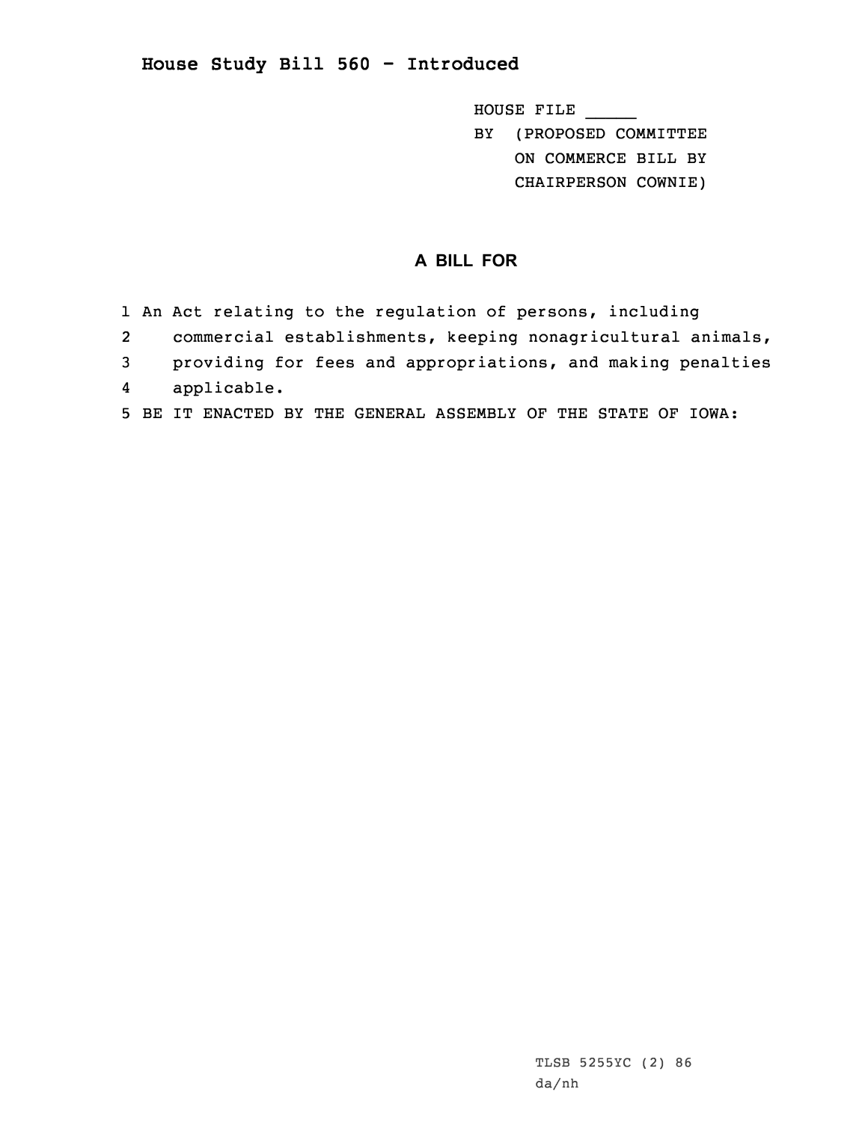## **House Study Bill 560 - Introduced**

HOUSE FILE \_\_\_\_\_ BY (PROPOSED COMMITTEE ON COMMERCE BILL BY CHAIRPERSON COWNIE)

## **A BILL FOR**

- 1 An Act relating to the regulation of persons, including
- 2commercial establishments, keeping nonagricultural animals,
- 3 providing for fees and appropriations, and making penalties
- 4applicable.
- 5 BE IT ENACTED BY THE GENERAL ASSEMBLY OF THE STATE OF IOWA: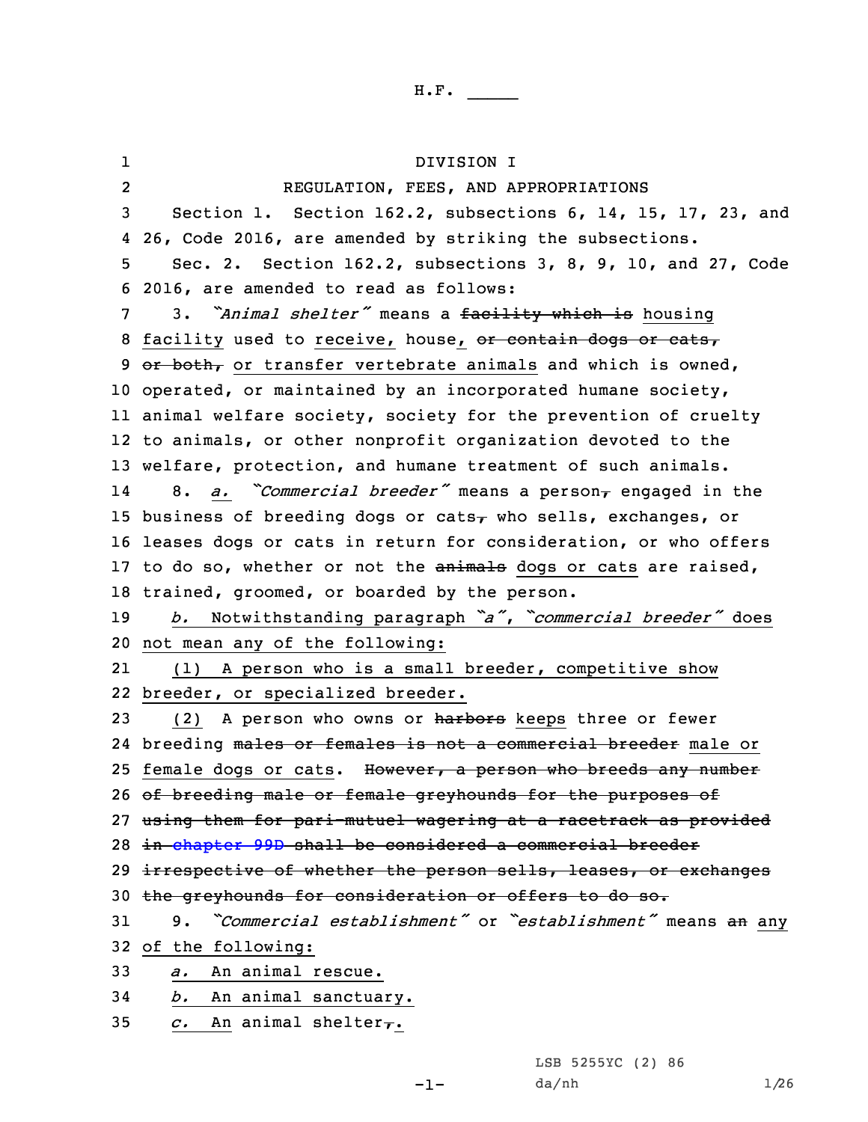1 DIVISION I 2 REGULATION, FEES, AND APPROPRIATIONS Section 1. Section 162.2, subsections 6, 14, 15, 17, 23, and 26, Code 2016, are amended by striking the subsections. Sec. 2. Section 162.2, subsections 3, 8, 9, 10, and 27, Code 2016, are amended to read as follows: 3. *"Animal shelter"* means <sup>a</sup> facility which is housing 8 facility used to receive, house, or contain dogs or cats,  $or$  both, or transfer vertebrate animals and which is owned, operated, or maintained by an incorporated humane society, animal welfare society, society for the prevention of cruelty to animals, or other nonprofit organization devoted to the welfare, protection, and humane treatment of such animals. 148. *a. Commercial breeder*<sup>*"*</sup> means a person<sub>*r*</sub> engaged in the 15 business of breeding dogs or cats $<sub>7</sub>$  who sells, exchanges, or</sub> leases dogs or cats in return for consideration, or who offers 17 to do so, whether or not the animals dogs or cats are raised, trained, groomed, or boarded by the person. *b.* Notwithstanding paragraph *"a"*, *"commercial breeder"* does not mean any of the following: 21 (1) <sup>A</sup> person who is <sup>a</sup> small breeder, competitive show breeder, or specialized breeder. 23 (2) A person who owns or harbors keeps three or fewer 24 breeding <del>males or females is not a commercial breeder</del> male or 25 female dogs or cats. However, a person who breeds any number of breeding male or female greyhounds for the purposes of using them for pari-mutuel wagering at <sup>a</sup> racetrack as provided in [chapter](https://www.legis.iowa.gov/docs/code/2016/99D.pdf) 99D shall be considered <sup>a</sup> commercial breeder 29 irrespective of whether the person sells, leases, or exchanges the greyhounds for consideration or offers to do so. 9. *"Commercial establishment"* or *"establishment"* means an any of the following: *a.* An animal rescue. *b.* An animal sanctuary. *c.* An animal shelter,.

LSB 5255YC (2) 86

-1-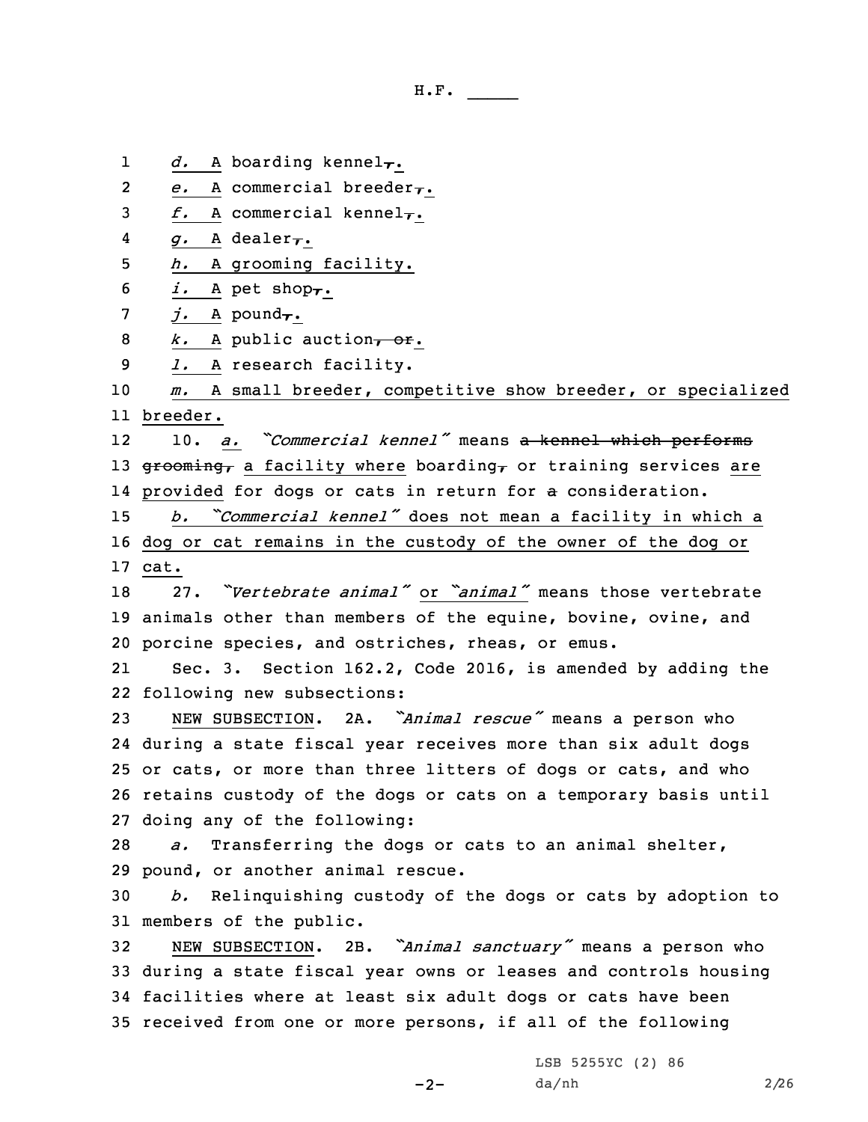- H.F. \_\_\_\_\_
- 1 $d.$  A boarding kennel<sub>7</sub>.
- 2*e.* A commercial breeder,.
- 3  $f.$  A commercial kennel<sub>7</sub>.
- 4*g.* <sup>A</sup> dealer,.
- 5 *h.* <sup>A</sup> grooming facility.
- 6 *i.* A pet shop $\tau$ .
- 7 *j.* A pound<sub>7</sub>.
- 8 *k.* A public auction, or.
- 9 *l.* <sup>A</sup> research facility.

10 *m.* <sup>A</sup> small breeder, competitive show breeder, or specialized 11 breeder.

12 10. *a. "Commercial kennel"* means <sup>a</sup> kennel which performs 13 grooming, a facility where boarding, or training services are 14 provided for dogs or cats in return for a consideration.

<sup>15</sup> *b. "Commercial kennel"* does not mean <sup>a</sup> facility in which <sup>a</sup> 16 dog or cat remains in the custody of the owner of the dog or 17 cat.

18 27. *"Vertebrate animal"* or *"animal"* means those vertebrate 19 animals other than members of the equine, bovine, ovine, and 20 porcine species, and ostriches, rheas, or emus.

21 Sec. 3. Section 162.2, Code 2016, is amended by adding the 22 following new subsections:

 NEW SUBSECTION. 2A. *"Animal rescue"* means <sup>a</sup> person who during <sup>a</sup> state fiscal year receives more than six adult dogs or cats, or more than three litters of dogs or cats, and who retains custody of the dogs or cats on <sup>a</sup> temporary basis until doing any of the following:

28 *a.* Transferring the dogs or cats to an animal shelter, 29 pound, or another animal rescue.

30 *b.* Relinquishing custody of the dogs or cats by adoption to 31 members of the public.

 NEW SUBSECTION. 2B. *"Animal sanctuary"* means <sup>a</sup> person who during <sup>a</sup> state fiscal year owns or leases and controls housing facilities where at least six adult dogs or cats have been received from one or more persons, if all of the following

 $-2-$ 

LSB 5255YC (2) 86 da/nh 2/26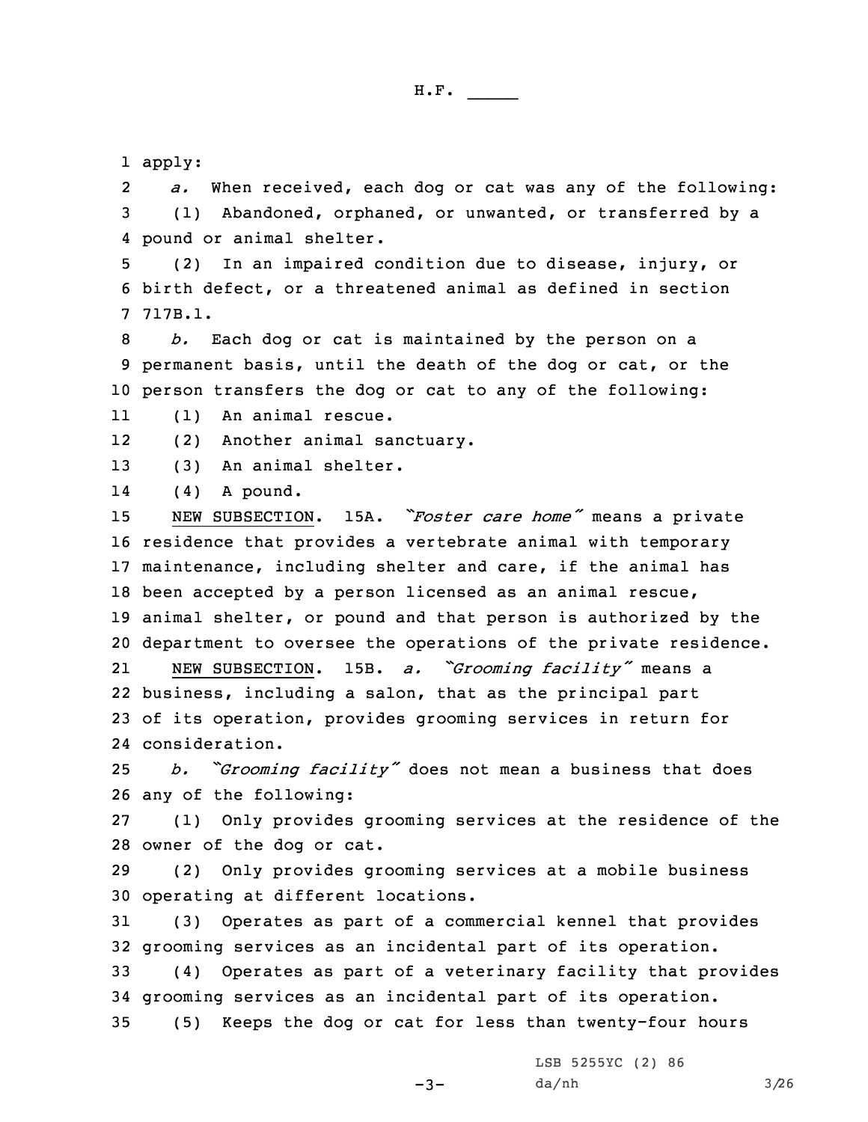1 apply:

2 *a.* When received, each dog or cat was any of the following: 3 (1) Abandoned, orphaned, or unwanted, or transferred by <sup>a</sup> 4 pound or animal shelter.

5 (2) In an impaired condition due to disease, injury, or 6 birth defect, or <sup>a</sup> threatened animal as defined in section 7 717B.1.

8 *b.* Each dog or cat is maintained by the person on <sup>a</sup> 9 permanent basis, until the death of the dog or cat, or the 10 person transfers the dog or cat to any of the following:

11(1) An animal rescue.

12(2) Another animal sanctuary.

13 (3) An animal shelter.

14(4) <sup>A</sup> pound.

 NEW SUBSECTION. 15A. *"Foster care home"* means <sup>a</sup> private residence that provides <sup>a</sup> vertebrate animal with temporary maintenance, including shelter and care, if the animal has been accepted by <sup>a</sup> person licensed as an animal rescue, animal shelter, or pound and that person is authorized by the department to oversee the operations of the private residence. 21 NEW SUBSECTION. 15B. *a. "Grooming facility"* means <sup>a</sup> business, including <sup>a</sup> salon, that as the principal part of its operation, provides grooming services in return for consideration.

<sup>25</sup> *b. "Grooming facility"* does not mean <sup>a</sup> business that does 26 any of the following:

27 (1) Only provides grooming services at the residence of the 28 owner of the dog or cat.

29 (2) Only provides grooming services at <sup>a</sup> mobile business 30 operating at different locations.

31 (3) Operates as part of <sup>a</sup> commercial kennel that provides 32 grooming services as an incidental part of its operation.

33 (4) Operates as part of <sup>a</sup> veterinary facility that provides 34 grooming services as an incidental part of its operation. 35 (5) Keeps the dog or cat for less than twenty-four hours

 $-3-$ 

LSB 5255YC (2) 86 da/nh 3/26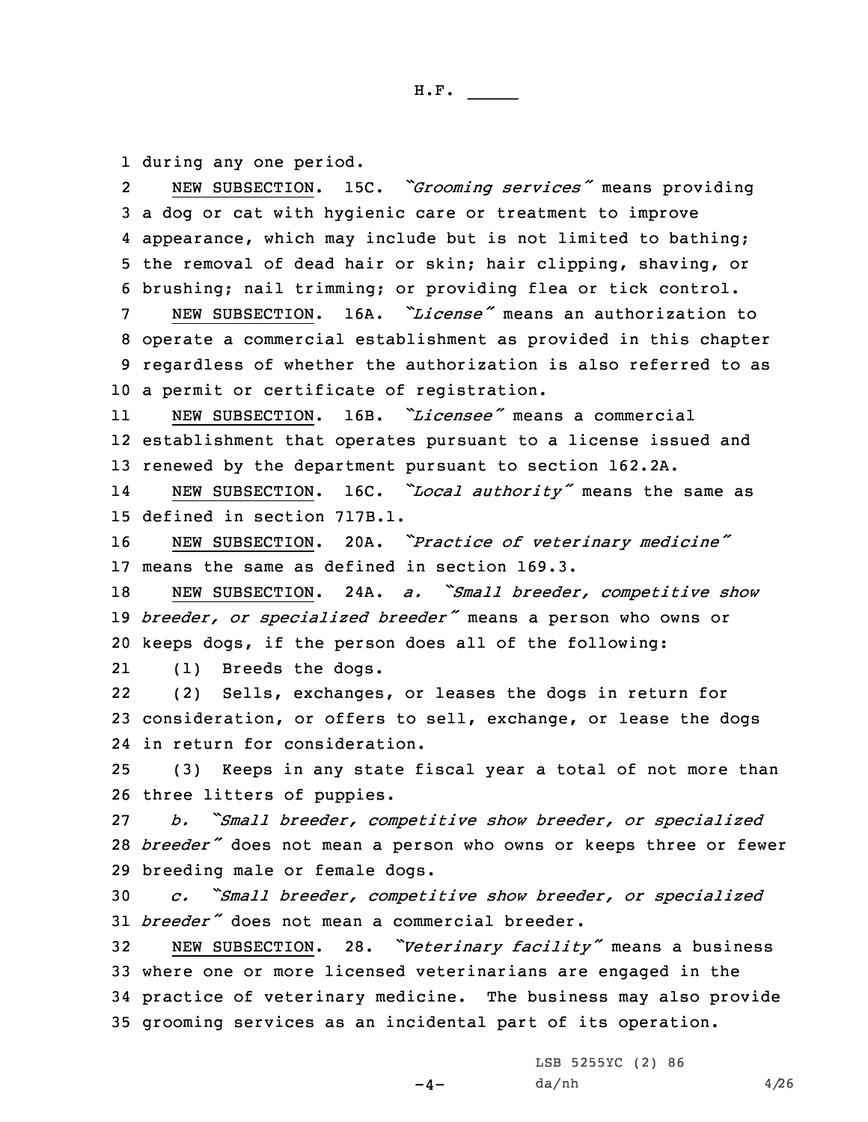1 during any one period.

2 NEW SUBSECTION. 15C. *"Grooming services"* means providing <sup>a</sup> dog or cat with hygienic care or treatment to improve appearance, which may include but is not limited to bathing; the removal of dead hair or skin; hair clipping, shaving, or brushing; nail trimming; or providing flea or tick control.

 NEW SUBSECTION. 16A. *"License"* means an authorization to operate <sup>a</sup> commercial establishment as provided in this chapter regardless of whether the authorization is also referred to as <sup>a</sup> permit or certificate of registration.

11 NEW SUBSECTION. 16B. *"Licensee"* means <sup>a</sup> commercial 12 establishment that operates pursuant to <sup>a</sup> license issued and 13 renewed by the department pursuant to section 162.2A.

14 NEW SUBSECTION. 16C. *"Local authority"* means the same as 15 defined in section 717B.1.

<sup>16</sup> NEW SUBSECTION. 20A. *"Practice of veterinary medicine"* 17 means the same as defined in section 169.3.

<sup>18</sup> NEW SUBSECTION. 24A. *a. "Small breeder, competitive show* <sup>19</sup> *breeder, or specialized breeder"* means <sup>a</sup> person who owns or 20 keeps dogs, if the person does all of the following:

21(1) Breeds the dogs.

22 (2) Sells, exchanges, or leases the dogs in return for 23 consideration, or offers to sell, exchange, or lease the dogs 24 in return for consideration.

25 (3) Keeps in any state fiscal year <sup>a</sup> total of not more than 26 three litters of puppies.

27 *b. "Small breeder, competitive show breeder, or specialized* <sup>28</sup> *breeder"* does not mean <sup>a</sup> person who owns or keeps three or fewer 29 breeding male or female dogs.

<sup>30</sup> *c. "Small breeder, competitive show breeder, or specialized* 31 *breeder"* does not mean <sup>a</sup> commercial breeder.

 NEW SUBSECTION. 28. *"Veterinary facility"* means <sup>a</sup> business where one or more licensed veterinarians are engaged in the practice of veterinary medicine. The business may also provide grooming services as an incidental part of its operation.

 $-4-$ 

LSB 5255YC (2) 86  $da/nh$  4/26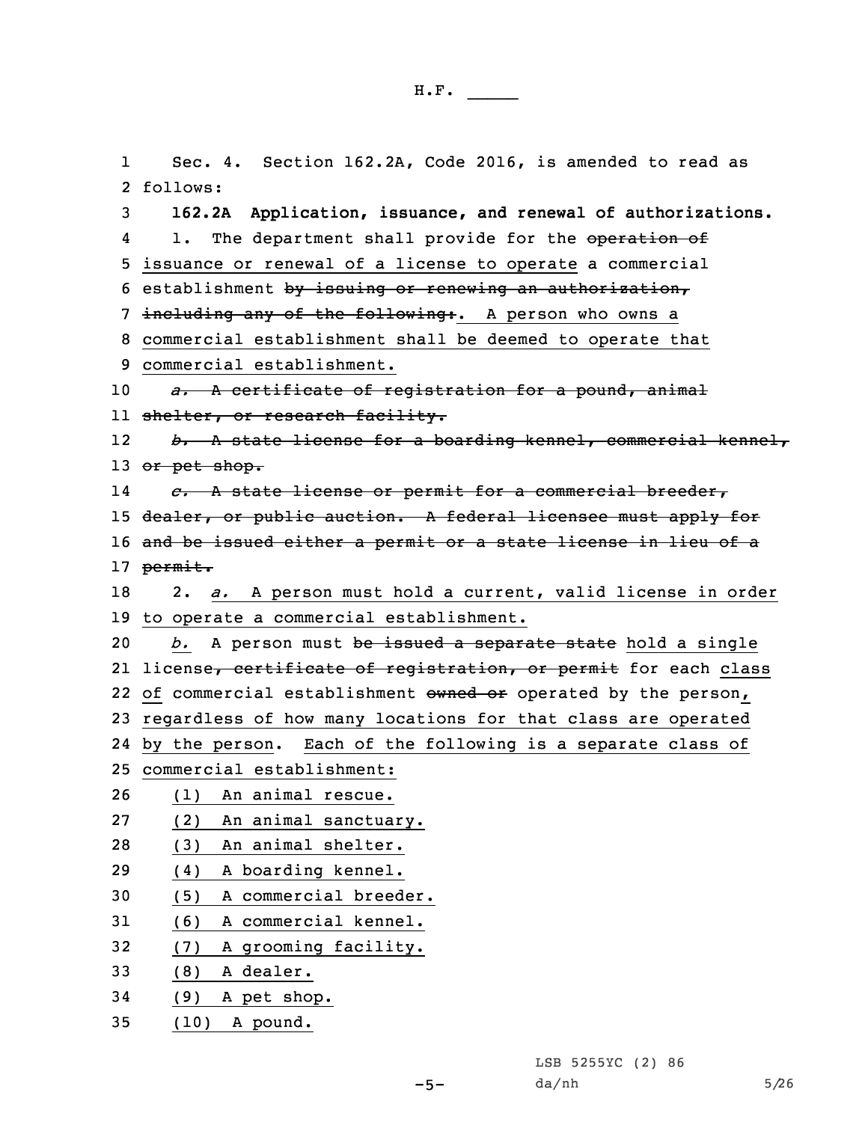1 Sec. 4. Section 162.2A, Code 2016, is amended to read as 2 follows: 3 **162.2A Application, issuance, and renewal of authorizations.** 41. The department shall provide for the operation of 5 issuance or renewal of <sup>a</sup> license to operate <sup>a</sup> commercial 6 establishment by issuing or renewing an authorization, 7 including any of the following:. A person who owns a 8 commercial establishment shall be deemed to operate that 9 commercial establishment. 10 *a.* <sup>A</sup> certificate of registration for <sup>a</sup> pound, animal ll <del>shelter, or research facility.</del> 12 *b.* <sup>A</sup> state license for <sup>a</sup> boarding kennel, commercial kennel, 13 or pet shop. 14 *c.* <sup>A</sup> state license or permit for <sup>a</sup> commercial breeder, 15 dealer, or public auction. A federal licensee must apply for 16 and be issued either <sup>a</sup> permit or <sup>a</sup> state license in lieu of <sup>a</sup> 17 permit. 18 2. *a.* <sup>A</sup> person must hold <sup>a</sup> current, valid license in order 19 to operate <sup>a</sup> commercial establishment. 20 *b.* A person must be issued a separate state hold a single 21 license<del>, certificate of registration, or permit</del> for each class 22 of commercial establishment owned or operated by the person, 23 regardless of how many locations for that class are operated 24 by the person. Each of the following is <sup>a</sup> separate class of 25 commercial establishment: 26 (1) An animal rescue. 27 (2) An animal sanctuary. 28 (3) An animal shelter. 29 (4) <sup>A</sup> boarding kennel. 30 (5) <sup>A</sup> commercial breeder. 31 (6) <sup>A</sup> commercial kennel. 32 (7) <sup>A</sup> grooming facility. 33 (8) A dealer. 34 (9) A pet shop. 35 (10) <sup>A</sup> pound.

da/nh 5/26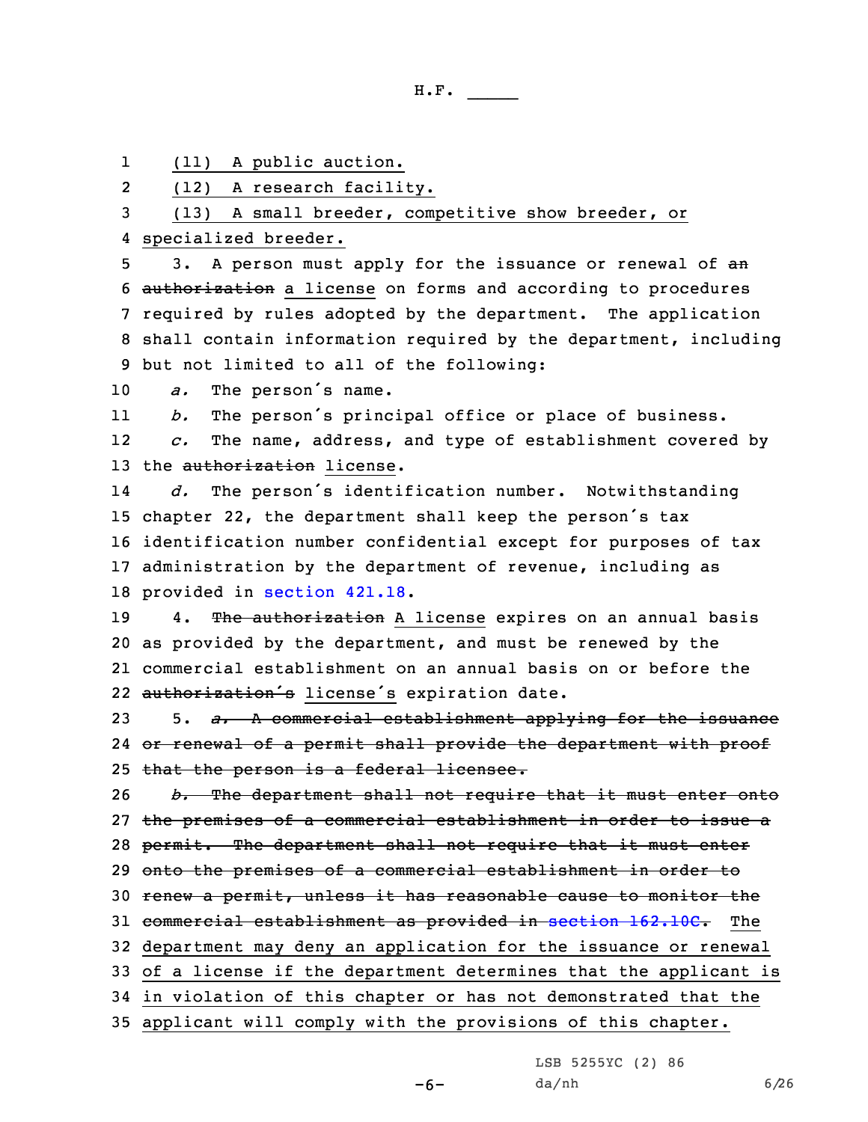1(11) <sup>A</sup> public auction.

2(12) <sup>A</sup> research facility.

3 (13) <sup>A</sup> small breeder, competitive show breeder, or 4 specialized breeder.

5 3. A person must apply for the issuance or renewal of an authorization <sup>a</sup> license on forms and according to procedures required by rules adopted by the department. The application shall contain information required by the department, including but not limited to all of the following:

<sup>10</sup> *a.* The person's name.

11*b.* The person's principal office or place of business.

12 *c.* The name, address, and type of establishment covered by 13 the authorization license.

14 *d.* The person's identification number. Notwithstanding chapter 22, the department shall keep the person's tax identification number confidential except for purposes of tax administration by the department of revenue, including as provided in [section](https://www.legis.iowa.gov/docs/code/2016/421.18.pdf) 421.18.

19 4. The authorization A license expires on an annual basis 20 as provided by the department, and must be renewed by the 21 commercial establishment on an annual basis on or before the 22 authorization's license's expiration date.

23 5. *a.* <sup>A</sup> commercial establishment applying for the issuance 24 <del>or renewal of a permit shall provide the department with proof</del> 25 that the person is a federal licensee.

 *b.* The department shall not require that it must enter onto the premises of <sup>a</sup> commercial establishment in order to issue <sup>a</sup> 28 permit. The department shall not require that it must enter onto the premises of <sup>a</sup> commercial establishment in order to renew <sup>a</sup> permit, unless it has reasonable cause to monitor the 31 commercial establishment as provided in section [162.10C](https://www.legis.iowa.gov/docs/code/2016/162.10C.pdf). The department may deny an application for the issuance or renewal of <sup>a</sup> license if the department determines that the applicant is in violation of this chapter or has not demonstrated that the

35 applicant will comply with the provisions of this chapter.

LSB 5255YC (2) 86

da/nh 6/26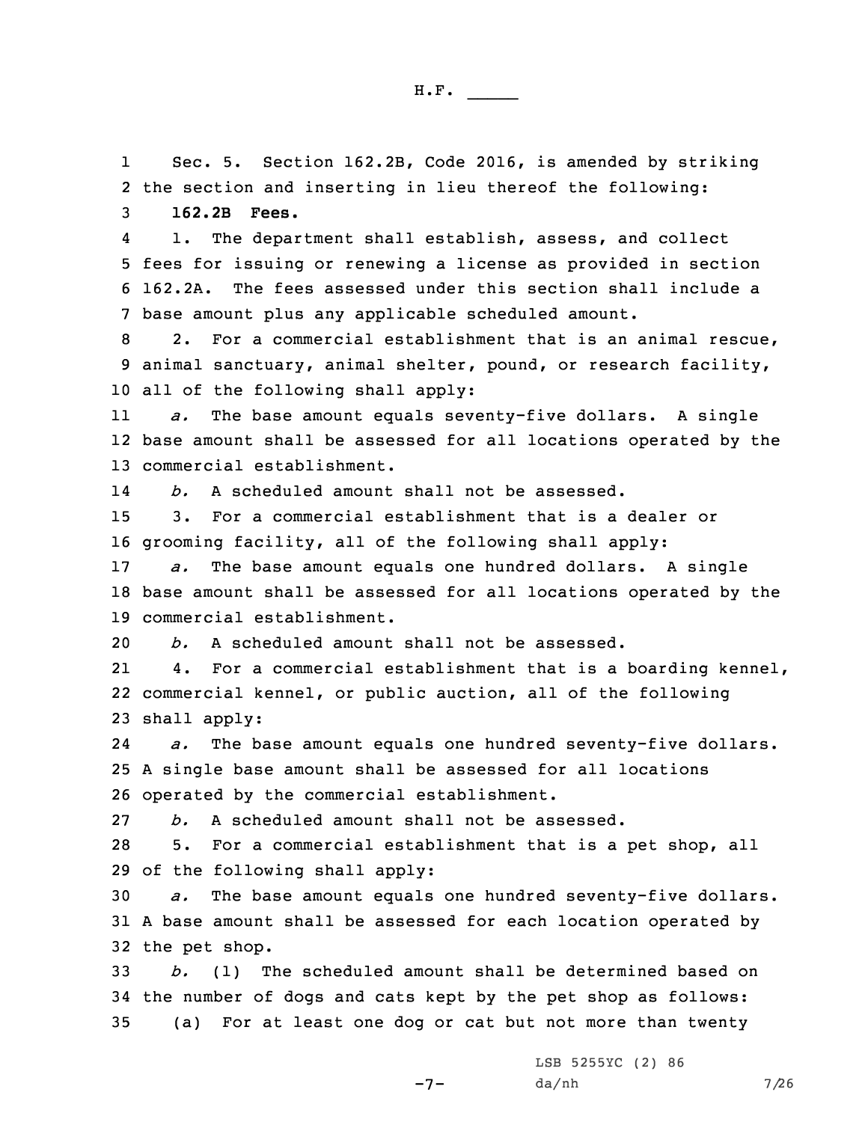1 Sec. 5. Section 162.2B, Code 2016, is amended by striking 2 the section and inserting in lieu thereof the following:

3 **162.2B Fees.**

4 1. The department shall establish, assess, and collect 5 fees for issuing or renewing <sup>a</sup> license as provided in section 6 162.2A. The fees assessed under this section shall include <sup>a</sup> 7 base amount plus any applicable scheduled amount.

8 2. For <sup>a</sup> commercial establishment that is an animal rescue, 9 animal sanctuary, animal shelter, pound, or research facility, 10 all of the following shall apply:

11 *a.* The base amount equals seventy-five dollars. <sup>A</sup> single 12 base amount shall be assessed for all locations operated by the 13 commercial establishment.

14*b.* A scheduled amount shall not be assessed.

15 3. For <sup>a</sup> commercial establishment that is <sup>a</sup> dealer or 16 grooming facility, all of the following shall apply:

17 *a.* The base amount equals one hundred dollars. <sup>A</sup> single 18 base amount shall be assessed for all locations operated by the 19 commercial establishment.

20 *b.* A scheduled amount shall not be assessed.

21 4. For <sup>a</sup> commercial establishment that is <sup>a</sup> boarding kennel, 22 commercial kennel, or public auction, all of the following 23 shall apply:

24 *a.* The base amount equals one hundred seventy-five dollars. 25 <sup>A</sup> single base amount shall be assessed for all locations 26 operated by the commercial establishment.

27 *b.* A scheduled amount shall not be assessed.

28 5. For <sup>a</sup> commercial establishment that is <sup>a</sup> pet shop, all 29 of the following shall apply:

30 *a.* The base amount equals one hundred seventy-five dollars. 31 <sup>A</sup> base amount shall be assessed for each location operated by 32 the pet shop.

33 *b.* (1) The scheduled amount shall be determined based on 34 the number of dogs and cats kept by the pet shop as follows: 35 (a) For at least one dog or cat but not more than twenty

 $-7-$ 

LSB 5255YC (2) 86 da/nh 7/26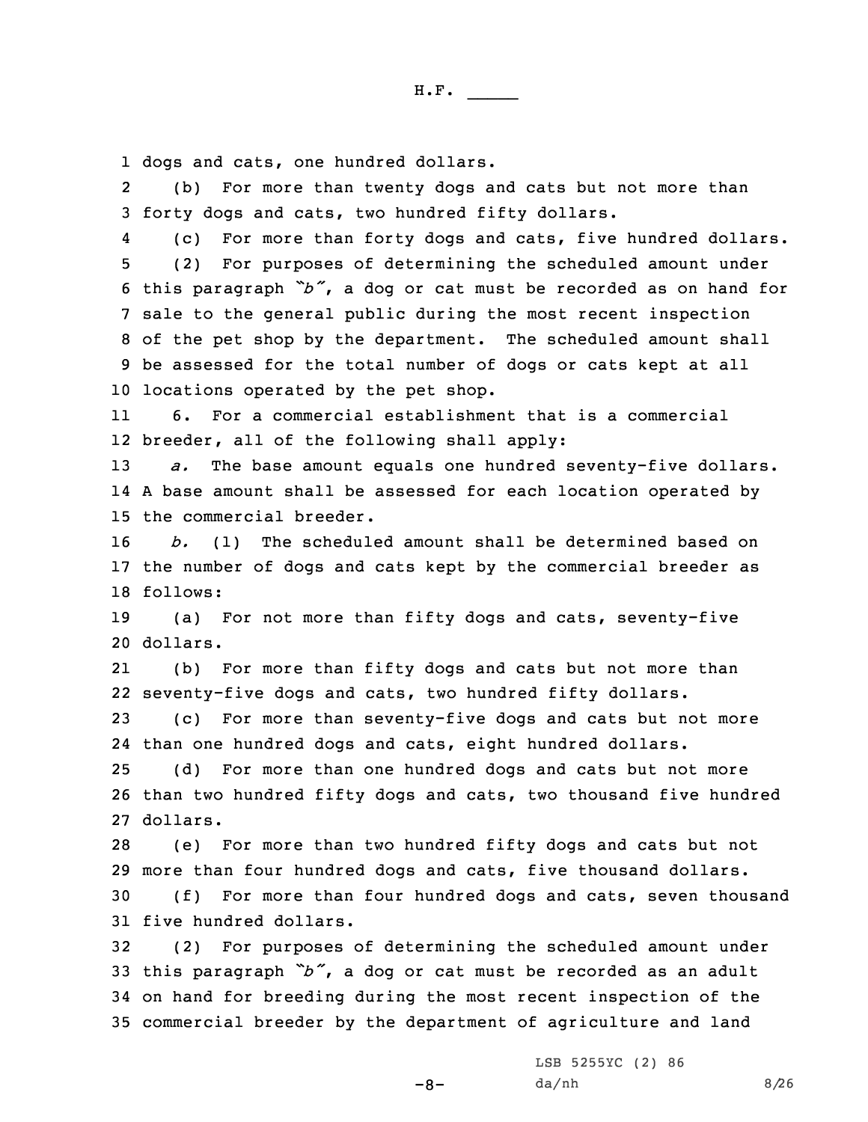1 dogs and cats, one hundred dollars.

2 (b) For more than twenty dogs and cats but not more than 3 forty dogs and cats, two hundred fifty dollars.

4 (c) For more than forty dogs and cats, five hundred dollars. (2) For purposes of determining the scheduled amount under this paragraph *"b"*, <sup>a</sup> dog or cat must be recorded as on hand for sale to the general public during the most recent inspection of the pet shop by the department. The scheduled amount shall be assessed for the total number of dogs or cats kept at all locations operated by the pet shop.

11 6. For <sup>a</sup> commercial establishment that is <sup>a</sup> commercial 12 breeder, all of the following shall apply:

13 *a.* The base amount equals one hundred seventy-five dollars. 14 <sup>A</sup> base amount shall be assessed for each location operated by 15 the commercial breeder.

16 *b.* (1) The scheduled amount shall be determined based on 17 the number of dogs and cats kept by the commercial breeder as 18 follows:

19 (a) For not more than fifty dogs and cats, seventy-five 20 dollars.

21 (b) For more than fifty dogs and cats but not more than 22 seventy-five dogs and cats, two hundred fifty dollars.

23 (c) For more than seventy-five dogs and cats but not more 24 than one hundred dogs and cats, eight hundred dollars.

25 (d) For more than one hundred dogs and cats but not more 26 than two hundred fifty dogs and cats, two thousand five hundred 27 dollars.

 (e) For more than two hundred fifty dogs and cats but not more than four hundred dogs and cats, five thousand dollars. (f) For more than four hundred dogs and cats, seven thousand five hundred dollars.

 (2) For purposes of determining the scheduled amount under this paragraph *"b"*, <sup>a</sup> dog or cat must be recorded as an adult on hand for breeding during the most recent inspection of the commercial breeder by the department of agriculture and land

-8-

LSB 5255YC (2) 86  $da/nh$  8/26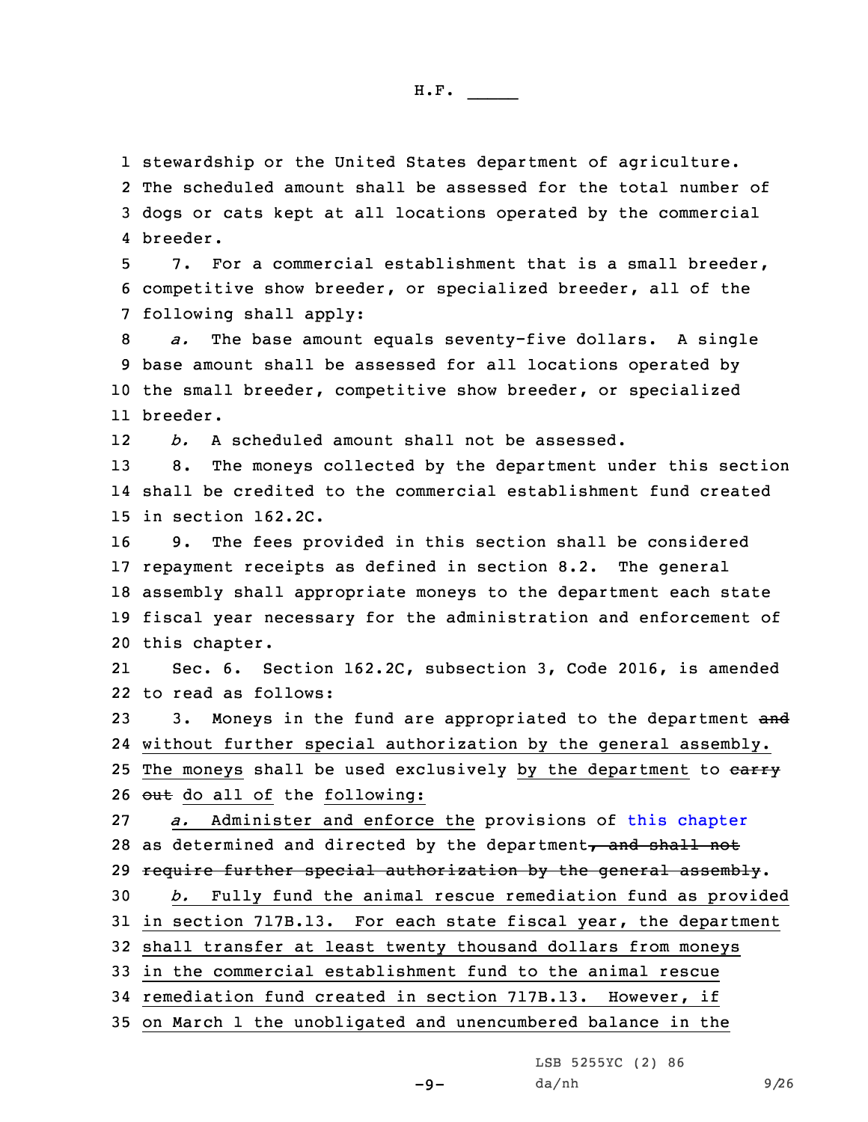1 stewardship or the United States department of agriculture.

2 The scheduled amount shall be assessed for the total number of 3 dogs or cats kept at all locations operated by the commercial 4 breeder.

5 7. For <sup>a</sup> commercial establishment that is <sup>a</sup> small breeder, 6 competitive show breeder, or specialized breeder, all of the 7 following shall apply:

 *a.* The base amount equals seventy-five dollars. <sup>A</sup> single base amount shall be assessed for all locations operated by the small breeder, competitive show breeder, or specialized 11 breeder.

12*b.* A scheduled amount shall not be assessed.

13 8. The moneys collected by the department under this section 14 shall be credited to the commercial establishment fund created 15 in section 162.2C.

 9. The fees provided in this section shall be considered repayment receipts as defined in section 8.2. The general assembly shall appropriate moneys to the department each state fiscal year necessary for the administration and enforcement of this chapter.

21 Sec. 6. Section 162.2C, subsection 3, Code 2016, is amended 22 to read as follows:

23 3. Moneys in the fund are appropriated to the department and 24 without further special authorization by the general assembly. 25 The moneys shall be used exclusively by the department to earry 26  $_{\text{out}}$  do all of the following:

 *a.* Administer and enforce the provisions of this [chapter](https://www.legis.iowa.gov/docs/code/2016/162.pdf) 28 as determined and directed by the department, and shall not 29 require further special authorization by the general assembly. *b.* Fully fund the animal rescue remediation fund as provided in section 717B.13. For each state fiscal year, the department shall transfer at least twenty thousand dollars from moneys in the commercial establishment fund to the animal rescue

34 remediation fund created in section 717B.13. However, if

35 on March 1 the unobligated and unencumbered balance in the

LSB 5255YC (2) 86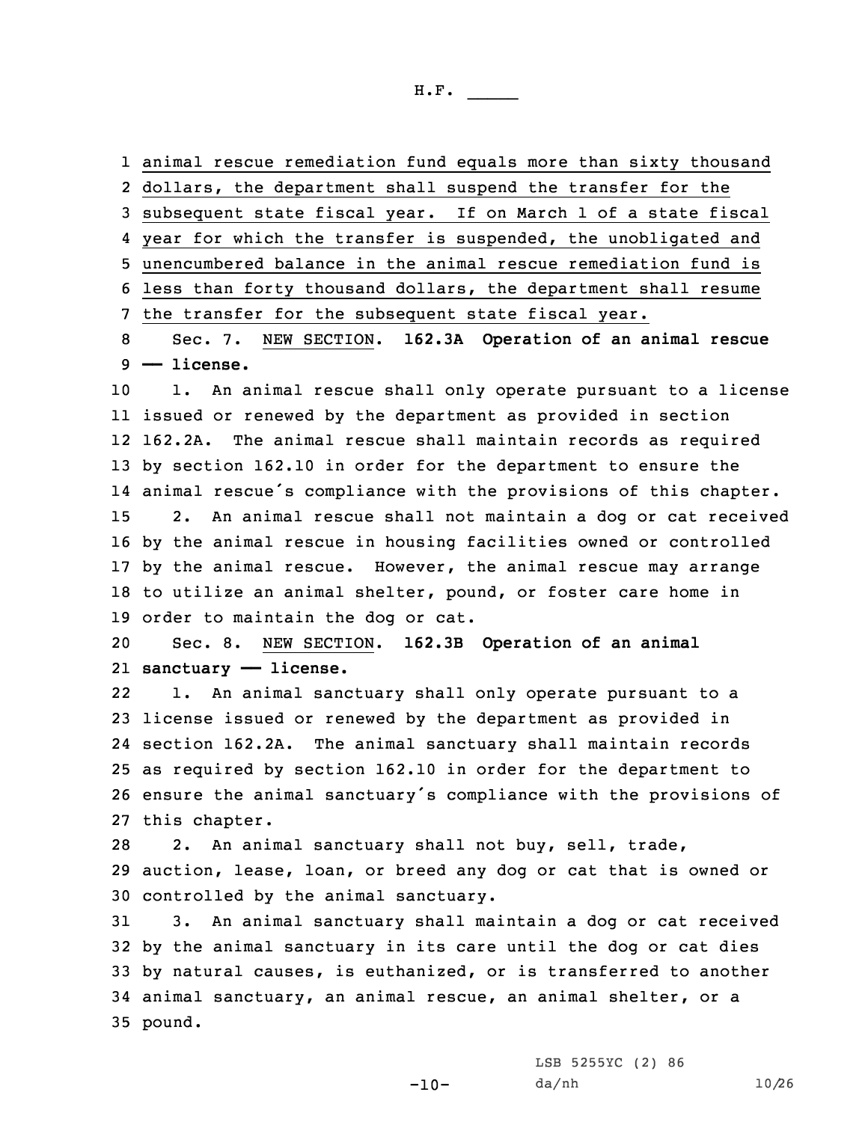animal rescue remediation fund equals more than sixty thousand dollars, the department shall suspend the transfer for the subsequent state fiscal year. If on March 1 of <sup>a</sup> state fiscal 4 year for which the transfer is suspended, the unobligated and unencumbered balance in the animal rescue remediation fund is less than forty thousand dollars, the department shall resume the transfer for the subsequent state fiscal year. Sec. 7. NEW SECTION. **162.3A Operation of an animal rescue**

9 **—— license.**

 1. An animal rescue shall only operate pursuant to <sup>a</sup> license issued or renewed by the department as provided in section 162.2A. The animal rescue shall maintain records as required by section 162.10 in order for the department to ensure the animal rescue's compliance with the provisions of this chapter. 2. An animal rescue shall not maintain <sup>a</sup> dog or cat received by the animal rescue in housing facilities owned or controlled by the animal rescue. However, the animal rescue may arrange to utilize an animal shelter, pound, or foster care home in order to maintain the dog or cat.

20 Sec. 8. NEW SECTION. **162.3B Operation of an animal** 21 **sanctuary —— license.**

22 1. An animal sanctuary shall only operate pursuant to <sup>a</sup> license issued or renewed by the department as provided in section 162.2A. The animal sanctuary shall maintain records as required by section 162.10 in order for the department to ensure the animal sanctuary's compliance with the provisions of this chapter.

28 2. An animal sanctuary shall not buy, sell, trade, 29 auction, lease, loan, or breed any dog or cat that is owned or 30 controlled by the animal sanctuary.

 3. An animal sanctuary shall maintain <sup>a</sup> dog or cat received by the animal sanctuary in its care until the dog or cat dies by natural causes, is euthanized, or is transferred to another animal sanctuary, an animal rescue, an animal shelter, or <sup>a</sup> 35 pound.

 $-10-$ 

LSB 5255YC (2) 86 da/nh 10/26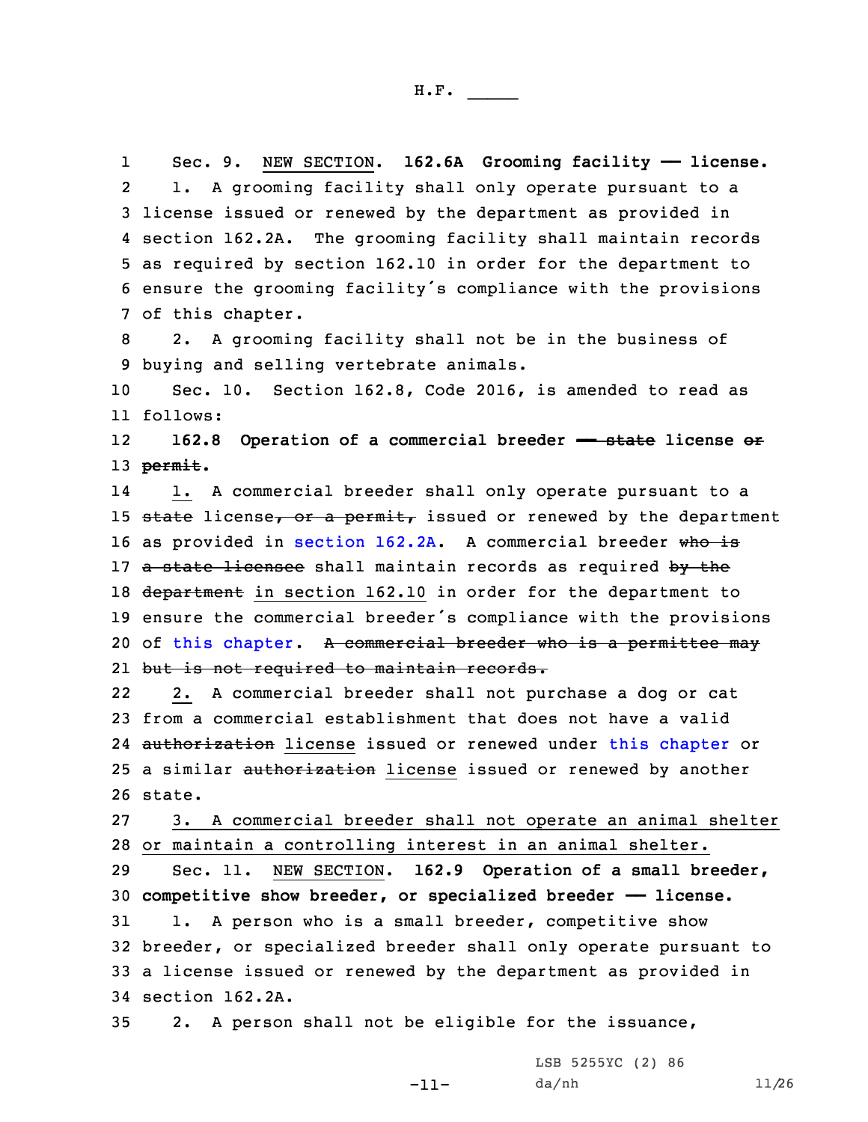1 Sec. 9. NEW SECTION. **162.6A Grooming facility —— license.** 2 1. <sup>A</sup> grooming facility shall only operate pursuant to <sup>a</sup> 3 license issued or renewed by the department as provided in 4 section 162.2A. The grooming facility shall maintain records 5 as required by section 162.10 in order for the department to <sup>6</sup> ensure the grooming facility's compliance with the provisions 7 of this chapter.

8 2. <sup>A</sup> grooming facility shall not be in the business of 9 buying and selling vertebrate animals.

10 Sec. 10. Section 162.8, Code 2016, is amended to read as 11 follows:

12 **162.8 Operation of <sup>a</sup> commercial breeder —— state license or** 13 **permit.**

14 1. <sup>A</sup> commercial breeder shall only operate pursuant to <sup>a</sup> 15 state license, or a permit, issued or renewed by the department 16 as provided in [section](https://www.legis.iowa.gov/docs/code/2016/162.2A.pdf) 162.2A. A commercial breeder who is 17 a state licensee shall maintain records as required by the 18 department in section 162.10 in order for the department to <sup>19</sup> ensure the commercial breeder's compliance with the provisions 20 of this [chapter](https://www.legis.iowa.gov/docs/code/2016/162.pdf). A commercial breeder who is a permittee may 21 but is not required to maintain records.

22 2. <sup>A</sup> commercial breeder shall not purchase <sup>a</sup> dog or cat 23 from <sup>a</sup> commercial establishment that does not have <sup>a</sup> valid 24 authorization license issued or renewed under this [chapter](https://www.legis.iowa.gov/docs/code/2016/162.pdf) or 25 a similar authorization license issued or renewed by another 26 state.

27 3. <sup>A</sup> commercial breeder shall not operate an animal shelter 28 or maintain <sup>a</sup> controlling interest in an animal shelter.

 Sec. 11. NEW SECTION. **162.9 Operation of <sup>a</sup> small breeder, competitive show breeder, or specialized breeder —— license.** 1. <sup>A</sup> person who is <sup>a</sup> small breeder, competitive show breeder, or specialized breeder shall only operate pursuant to <sup>a</sup> license issued or renewed by the department as provided in section 162.2A.

-11-

35 2. <sup>A</sup> person shall not be eligible for the issuance,

LSB 5255YC (2) 86 da/nh 11/26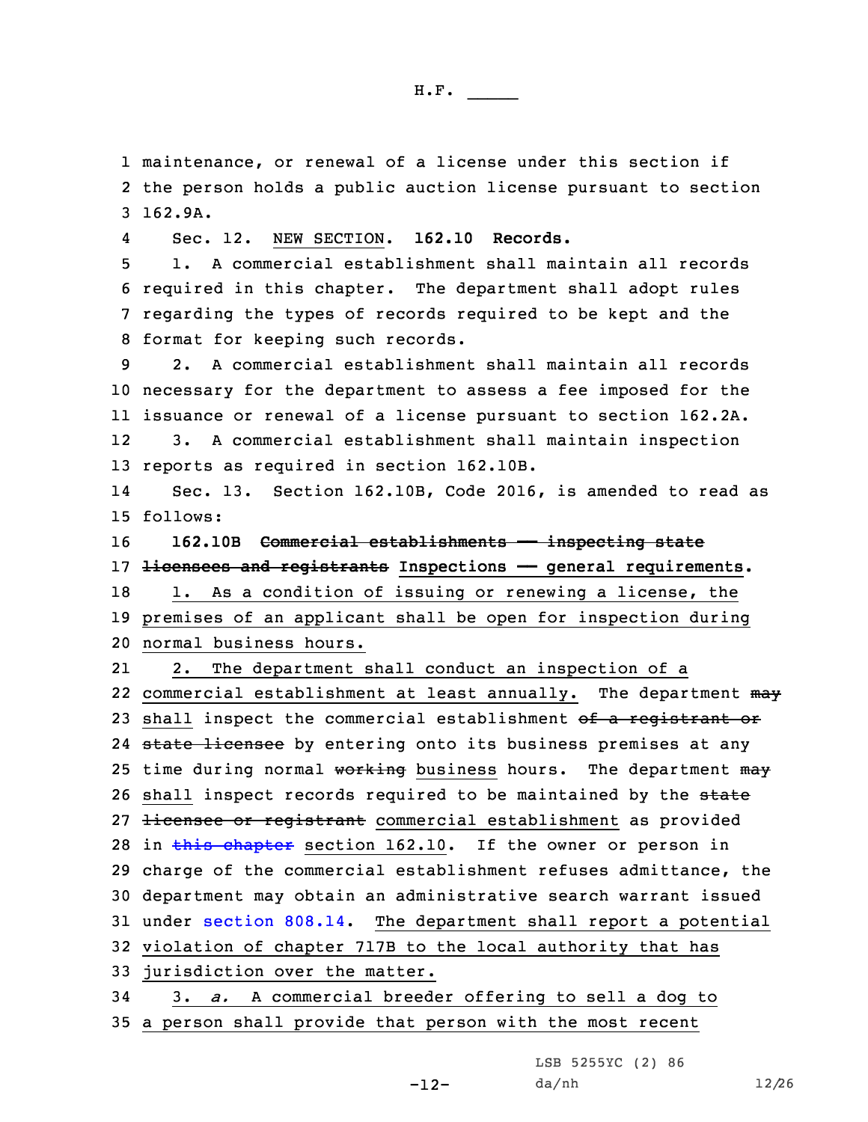1 maintenance, or renewal of <sup>a</sup> license under this section if 2 the person holds <sup>a</sup> public auction license pursuant to section 3 162.9A.

4Sec. 12. NEW SECTION. **162.10 Records.**

 1. A commercial establishment shall maintain all records required in this chapter. The department shall adopt rules regarding the types of records required to be kept and the format for keeping such records.

 2. A commercial establishment shall maintain all records necessary for the department to assess <sup>a</sup> fee imposed for the issuance or renewal of <sup>a</sup> license pursuant to section 162.2A. 12 3. <sup>A</sup> commercial establishment shall maintain inspection reports as required in section 162.10B.

14 Sec. 13. Section 162.10B, Code 2016, is amended to read as 15 follows:

16 **162.10B Commercial establishments —— inspecting state** 17 **licensees and registrants Inspections —— general requirements.**

18 1. As a condition of issuing or renewing a license, the 19 premises of an applicant shall be open for inspection during 20 normal business hours.

21 2. The department shall conduct an inspection of <sup>a</sup> 22 commercial establishment at least annually. The department  $m$ ay 23 shall inspect the commercial establishment of a registrant or 24 <del>state licensee</del> by entering onto its business premises at any 25 time during normal working business hours. The department may 26 shall inspect records required to be maintained by the state 27 <del>licensee or registrant</del> commercial establishment as provided 28 in this [chapter](https://www.legis.iowa.gov/docs/code/2016/162.pdf) section 162.10. If the owner or person in 29 charge of the commercial establishment refuses admittance, the 30 department may obtain an administrative search warrant issued 31 under [section](https://www.legis.iowa.gov/docs/code/2016/808.14.pdf) 808.14. The department shall report <sup>a</sup> potential 32 violation of chapter 717B to the local authority that has 33 jurisdiction over the matter.

34 3. *a.* <sup>A</sup> commercial breeder offering to sell <sup>a</sup> dog to 35 <sup>a</sup> person shall provide that person with the most recent

LSB 5255YC (2) 86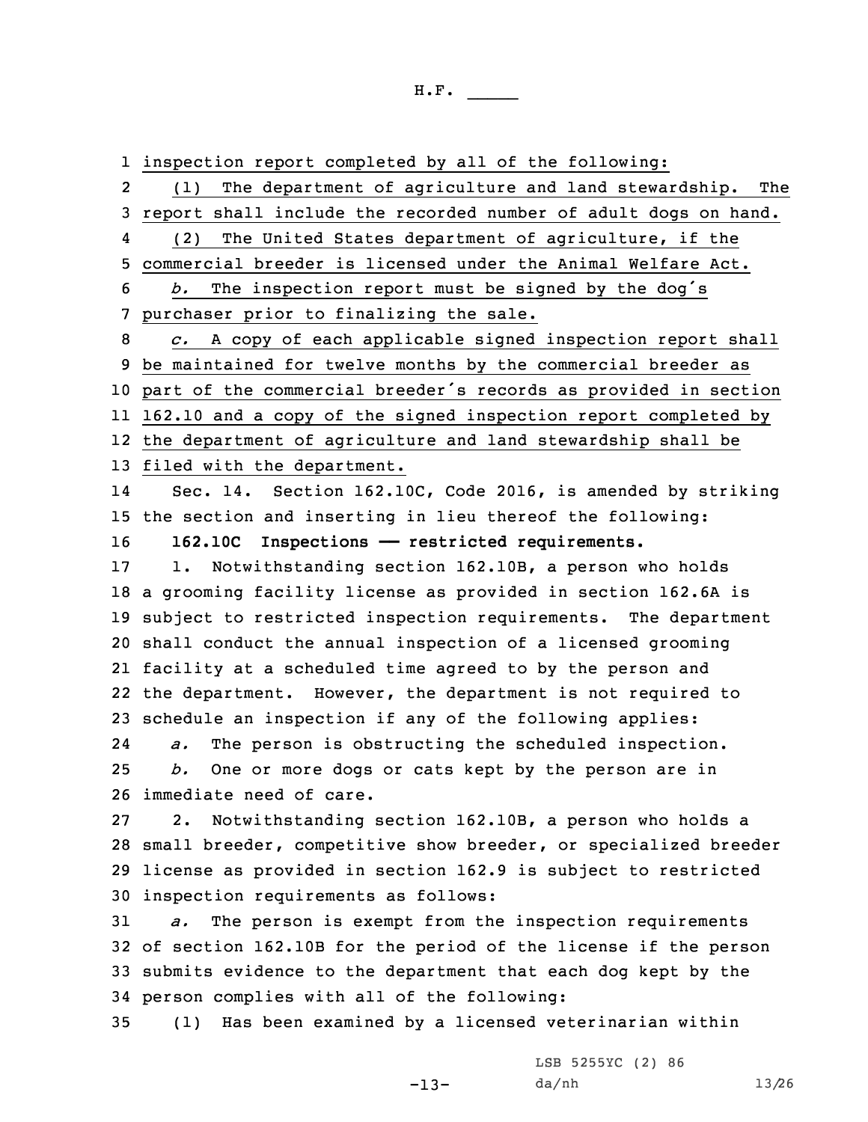1 inspection report completed by all of the following:

2 (1) The department of agriculture and land stewardship. The 3 report shall include the recorded number of adult dogs on hand. 4(2) The United States department of agriculture, if the

5 commercial breeder is licensed under the Animal Welfare Act.

<sup>6</sup> *b.* The inspection report must be signed by the dog's 7 purchaser prior to finalizing the sale.

 *c.* <sup>A</sup> copy of each applicable signed inspection report shall be maintained for twelve months by the commercial breeder as part of the commercial breeder's records as provided in section 162.10 and <sup>a</sup> copy of the signed inspection report completed by the department of agriculture and land stewardship shall be

13 filed with the department.

14 Sec. 14. Section 162.10C, Code 2016, is amended by striking 15 the section and inserting in lieu thereof the following: 16 **162.10C Inspections —— restricted requirements.**

 1. Notwithstanding section 162.10B, <sup>a</sup> person who holds <sup>a</sup> grooming facility license as provided in section 162.6A is subject to restricted inspection requirements. The department shall conduct the annual inspection of <sup>a</sup> licensed grooming facility at <sup>a</sup> scheduled time agreed to by the person and the department. However, the department is not required to schedule an inspection if any of the following applies: 24

 *a.* The person is obstructing the scheduled inspection. 25 *b.* One or more dogs or cats kept by the person are in 26 immediate need of care.

 2. Notwithstanding section 162.10B, <sup>a</sup> person who holds <sup>a</sup> small breeder, competitive show breeder, or specialized breeder license as provided in section 162.9 is subject to restricted inspection requirements as follows:

 *a.* The person is exempt from the inspection requirements of section 162.10B for the period of the license if the person submits evidence to the department that each dog kept by the person complies with all of the following:

35 (1) Has been examined by <sup>a</sup> licensed veterinarian within

-13-

LSB 5255YC (2) 86 da/nh 13/26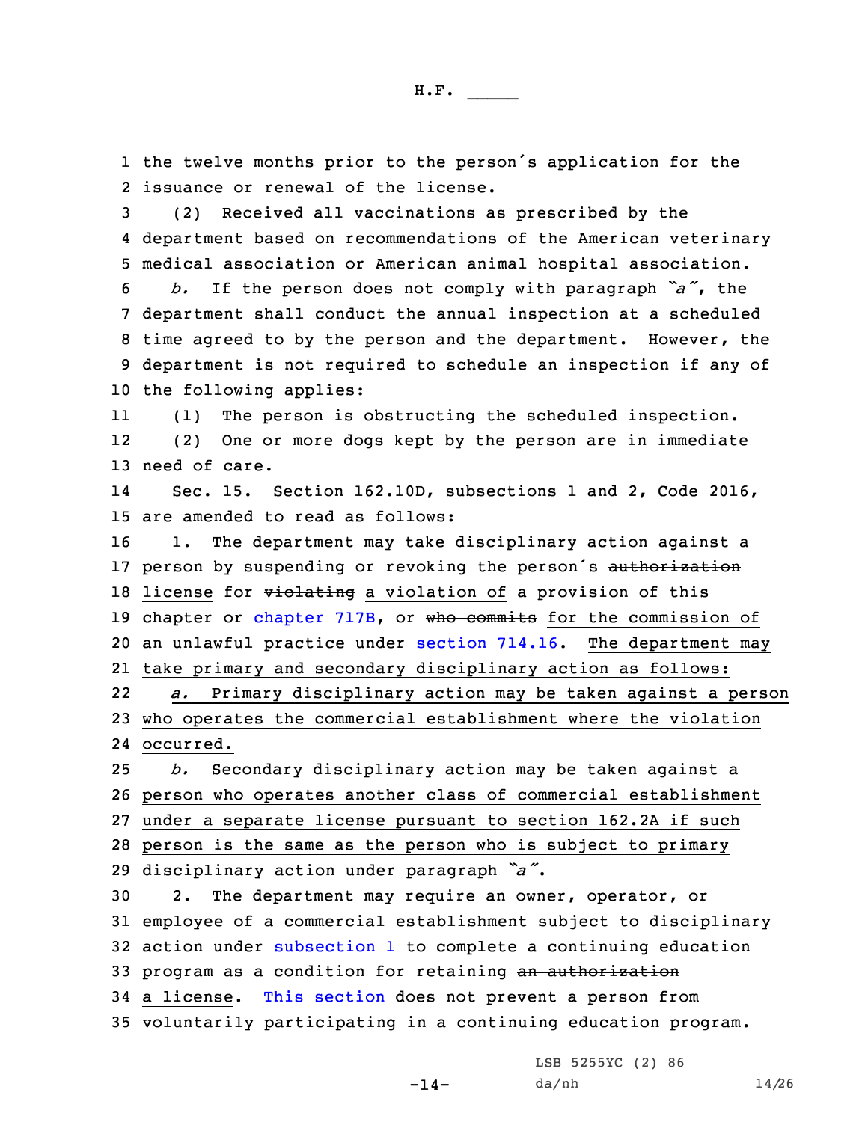1 the twelve months prior to the person's application for the 2 issuance or renewal of the license.

3 (2) Received all vaccinations as prescribed by the 4 department based on recommendations of the American veterinary 5 medical association or American animal hospital association.

 *b.* If the person does not comply with paragraph *"a"*, the department shall conduct the annual inspection at <sup>a</sup> scheduled time agreed to by the person and the department. However, the department is not required to schedule an inspection if any of the following applies:

11 (1) The person is obstructing the scheduled inspection. 12 (2) One or more dogs kept by the person are in immediate 13 need of care.

14 Sec. 15. Section 162.10D, subsections 1 and 2, Code 2016, 15 are amended to read as follows:

16 1. The department may take disciplinary action against <sup>a</sup> 17 person by suspending or revoking the person's authorization 18 license for violating a violation of a provision of this 19 [chapter](https://www.legis.iowa.gov/docs/code/2016/717B.pdf) or chapter 717B, or who commits for the commission of 20 an unlawful practice under [section](https://www.legis.iowa.gov/docs/code/2016/714.16.pdf) 714.16. The department may 21 take primary and secondary disciplinary action as follows: 22 *a.* Primary disciplinary action may be taken against <sup>a</sup> person 23 who operates the commercial establishment where the violation 24 occurred.

 *b.* Secondary disciplinary action may be taken against <sup>a</sup> person who operates another class of commercial establishment under <sup>a</sup> separate license pursuant to section 162.2A if such person is the same as the person who is subject to primary disciplinary action under paragraph *"a"*.

 2. The department may require an owner, operator, or employee of <sup>a</sup> commercial establishment subject to disciplinary action under [subsection](https://www.legis.iowa.gov/docs/code/2016/162.10D.pdf) 1 to complete <sup>a</sup> continuing education 33 program as a condition for retaining an authorization <sup>a</sup> license. This [section](https://www.legis.iowa.gov/docs/code/2016/162.10D.pdf) does not prevent <sup>a</sup> person from voluntarily participating in <sup>a</sup> continuing education program.

 $-14-$ 

LSB 5255YC (2) 86 da/nh 14/26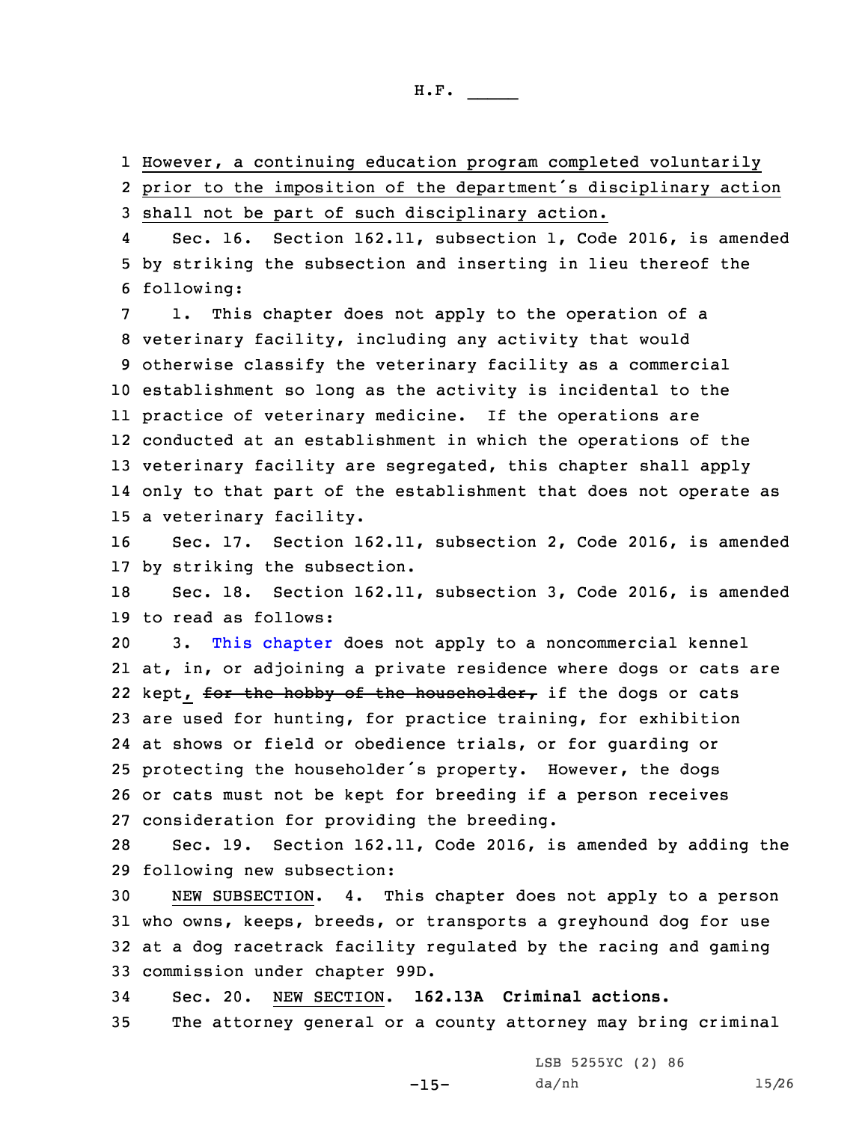1 However, <sup>a</sup> continuing education program completed voluntarily

2 prior to the imposition of the department's disciplinary action 3 shall not be part of such disciplinary action.

4 Sec. 16. Section 162.11, subsection 1, Code 2016, is amended 5 by striking the subsection and inserting in lieu thereof the 6 following:

 1. This chapter does not apply to the operation of <sup>a</sup> veterinary facility, including any activity that would otherwise classify the veterinary facility as <sup>a</sup> commercial establishment so long as the activity is incidental to the practice of veterinary medicine. If the operations are conducted at an establishment in which the operations of the veterinary facility are segregated, this chapter shall apply only to that part of the establishment that does not operate as <sup>a</sup> veterinary facility.

16 Sec. 17. Section 162.11, subsection 2, Code 2016, is amended 17 by striking the subsection.

18 Sec. 18. Section 162.11, subsection 3, Code 2016, is amended 19 to read as follows:

 3. This [chapter](https://www.legis.iowa.gov/docs/code/2016/162.pdf) does not apply to <sup>a</sup> noncommercial kennel at, in, or adjoining <sup>a</sup> private residence where dogs or cats are 22 kept, <del>for the hobby of the householder,</del> if the dogs or cats are used for hunting, for practice training, for exhibition at shows or field or obedience trials, or for guarding or protecting the householder's property. However, the dogs or cats must not be kept for breeding if <sup>a</sup> person receives consideration for providing the breeding.

28 Sec. 19. Section 162.11, Code 2016, is amended by adding the 29 following new subsection:

 NEW SUBSECTION. 4. This chapter does not apply to <sup>a</sup> person who owns, keeps, breeds, or transports <sup>a</sup> greyhound dog for use at <sup>a</sup> dog racetrack facility regulated by the racing and gaming commission under chapter 99D.

34 Sec. 20. NEW SECTION. **162.13A Criminal actions.**

35 The attorney general or <sup>a</sup> county attorney may bring criminal

-15-

LSB 5255YC (2) 86 da/nh 15/26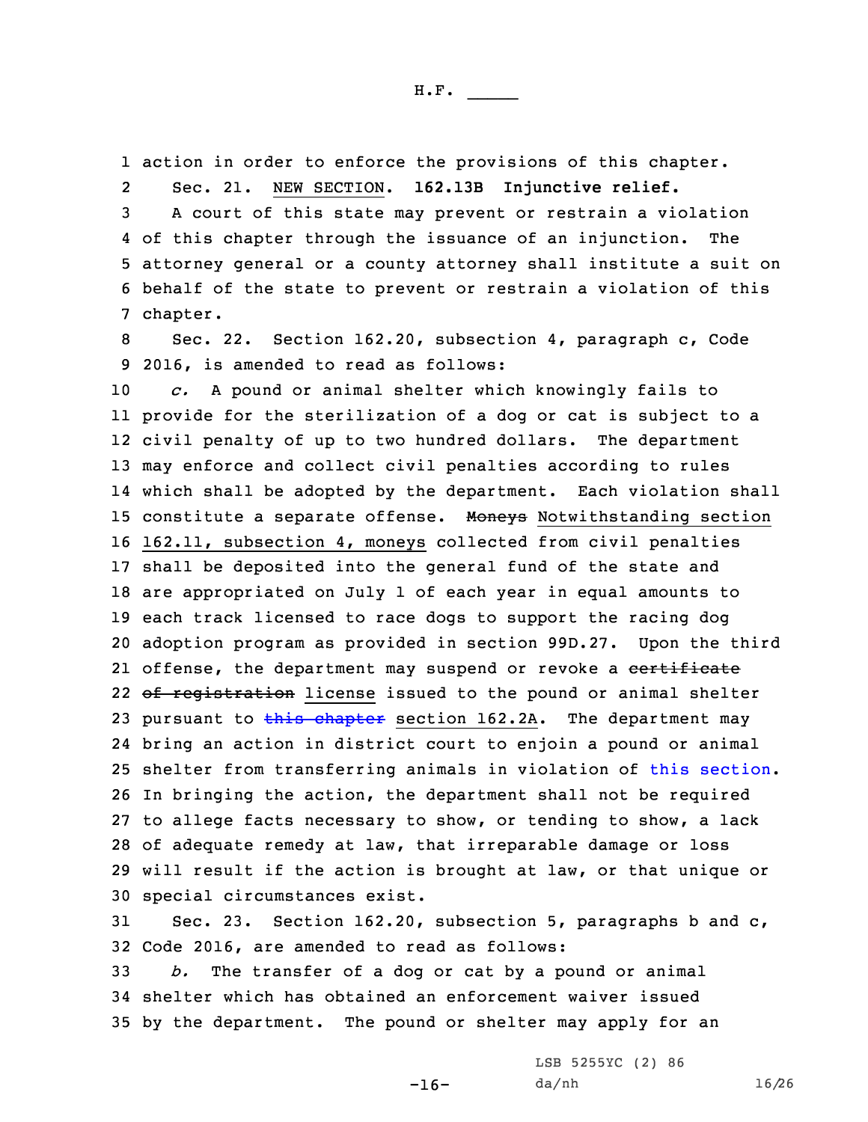1 action in order to enforce the provisions of this chapter.

2Sec. 21. NEW SECTION. **162.13B Injunctive relief.**

 <sup>A</sup> court of this state may prevent or restrain <sup>a</sup> violation of this chapter through the issuance of an injunction. The attorney general or <sup>a</sup> county attorney shall institute <sup>a</sup> suit on behalf of the state to prevent or restrain <sup>a</sup> violation of this 7 chapter.

8 Sec. 22. Section 162.20, subsection 4, paragraph c, Code 9 2016, is amended to read as follows:

 *c.* <sup>A</sup> pound or animal shelter which knowingly fails to provide for the sterilization of <sup>a</sup> dog or cat is subject to <sup>a</sup> civil penalty of up to two hundred dollars. The department may enforce and collect civil penalties according to rules which shall be adopted by the department. Each violation shall 15 constitute a separate offense. Moneys Notwithstanding section 162.11, subsection 4, moneys collected from civil penalties shall be deposited into the general fund of the state and are appropriated on July 1 of each year in equal amounts to each track licensed to race dogs to support the racing dog adoption program as provided in section 99D.27. Upon the third 21 offense, the department may suspend or revoke a <del>certificate</del> 22 <del>of registration</del> license issued to the pound or animal shelter 23 pursuant to  $\frac{162}{16}$  [chapter](https://www.legis.iowa.gov/docs/code/2016/162.pdf) section 162.2A. The department may bring an action in district court to enjoin <sup>a</sup> pound or animal shelter from transferring animals in violation of this [section](https://www.legis.iowa.gov/docs/code/2016/162.20.pdf). In bringing the action, the department shall not be required to allege facts necessary to show, or tending to show, <sup>a</sup> lack of adequate remedy at law, that irreparable damage or loss will result if the action is brought at law, or that unique or special circumstances exist.

31 Sec. 23. Section 162.20, subsection 5, paragraphs b and c, 32 Code 2016, are amended to read as follows:

-16-

33 *b.* The transfer of <sup>a</sup> dog or cat by <sup>a</sup> pound or animal 34 shelter which has obtained an enforcement waiver issued 35 by the department. The pound or shelter may apply for an

> LSB 5255YC (2) 86 da/nh 16/26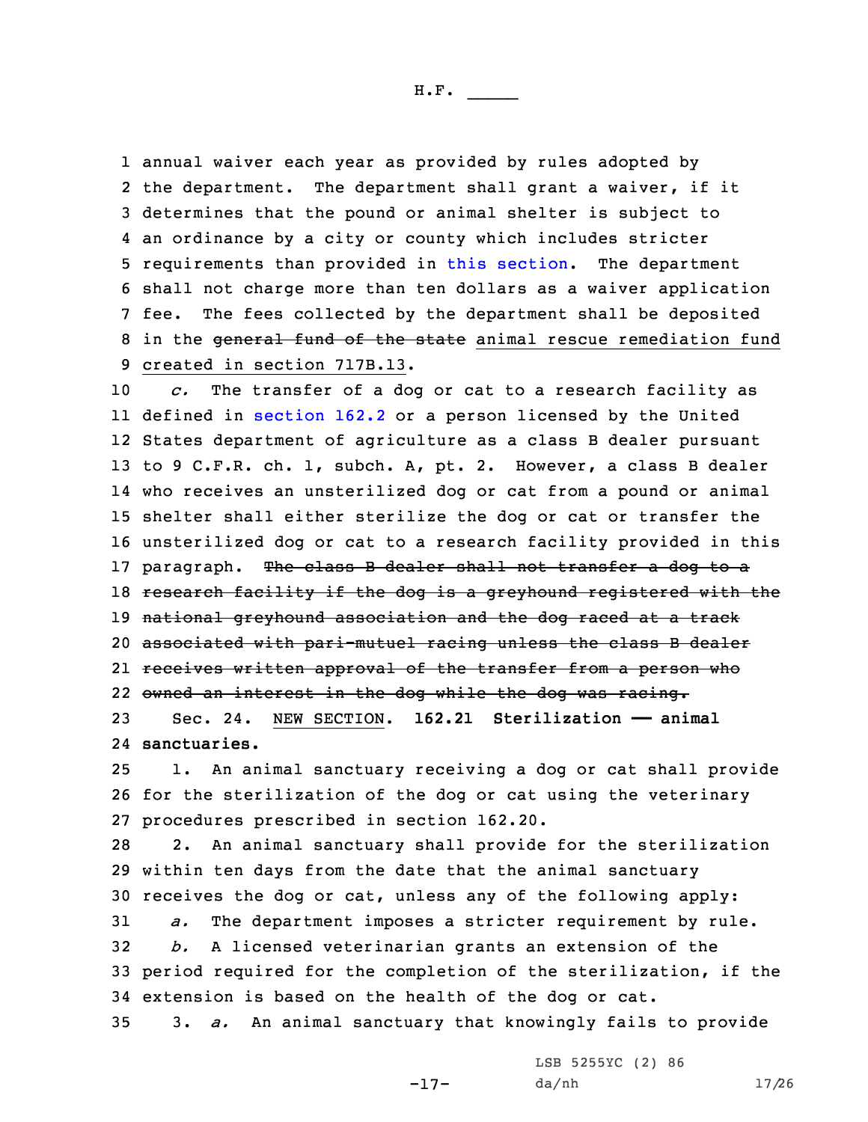annual waiver each year as provided by rules adopted by 2 the department. The department shall grant a waiver, if it determines that the pound or animal shelter is subject to an ordinance by <sup>a</sup> city or county which includes stricter requirements than provided in this [section](https://www.legis.iowa.gov/docs/code/2016/162.20.pdf). The department shall not charge more than ten dollars as <sup>a</sup> waiver application fee. The fees collected by the department shall be deposited 8 in the general fund of the state animal rescue remediation fund created in section 717B.13.

 *c.* The transfer of <sup>a</sup> dog or cat to <sup>a</sup> research facility as defined in [section](https://www.legis.iowa.gov/docs/code/2016/162.2.pdf) 162.2 or <sup>a</sup> person licensed by the United States department of agriculture as <sup>a</sup> class <sup>B</sup> dealer pursuant to 9 C.F.R. ch. 1, subch. A, pt. 2. However, <sup>a</sup> class <sup>B</sup> dealer who receives an unsterilized dog or cat from <sup>a</sup> pound or animal shelter shall either sterilize the dog or cat or transfer the unsterilized dog or cat to <sup>a</sup> research facility provided in this 17 paragraph. The class B dealer shall not transfer a dog to a 18 research facility if the dog is a greyhound registered with the 19 national greyhound association and the dog raced at a track associated with pari-mutuel racing unless the class <sup>B</sup> dealer receives written approval of the transfer from <sup>a</sup> person who owned an interest in the dog while the dog was racing. Sec. 24. NEW SECTION. **162.21 Sterilization —— animal**

24 **sanctuaries.**

25 1. An animal sanctuary receiving <sup>a</sup> dog or cat shall provide 26 for the sterilization of the dog or cat using the veterinary 27 procedures prescribed in section 162.20.

 2. An animal sanctuary shall provide for the sterilization within ten days from the date that the animal sanctuary receives the dog or cat, unless any of the following apply: *a.* The department imposes <sup>a</sup> stricter requirement by rule. *b.* <sup>A</sup> licensed veterinarian grants an extension of the period required for the completion of the sterilization, if the extension is based on the health of the dog or cat. 3. *a.* An animal sanctuary that knowingly fails to provide

-17-

LSB 5255YC (2) 86 da/nh 17/26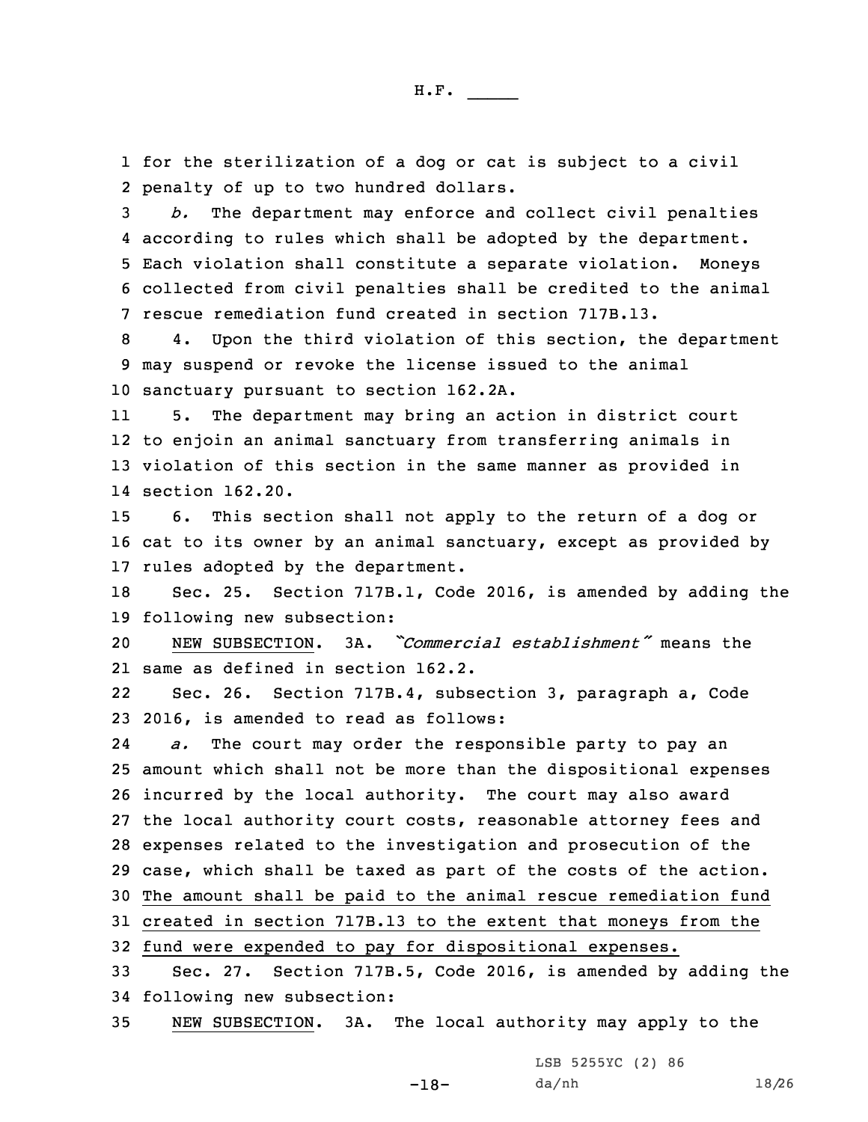1 for the sterilization of <sup>a</sup> dog or cat is subject to <sup>a</sup> civil 2 penalty of up to two hundred dollars.

 *b.* The department may enforce and collect civil penalties according to rules which shall be adopted by the department. Each violation shall constitute <sup>a</sup> separate violation. Moneys collected from civil penalties shall be credited to the animal rescue remediation fund created in section 717B.13.

8 4. Upon the third violation of this section, the department 9 may suspend or revoke the license issued to the animal 10 sanctuary pursuant to section 162.2A.

11 5. The department may bring an action in district court 12 to enjoin an animal sanctuary from transferring animals in 13 violation of this section in the same manner as provided in 14 section 162.20.

15 6. This section shall not apply to the return of <sup>a</sup> dog or 16 cat to its owner by an animal sanctuary, except as provided by 17 rules adopted by the department.

18 Sec. 25. Section 717B.1, Code 2016, is amended by adding the 19 following new subsection:

20 NEW SUBSECTION. 3A. *"Commercial establishment"* means the 21 same as defined in section 162.2.

22 Sec. 26. Section 717B.4, subsection 3, paragraph a, Code 23 2016, is amended to read as follows:

24 *a.* The court may order the responsible party to pay an amount which shall not be more than the dispositional expenses incurred by the local authority. The court may also award the local authority court costs, reasonable attorney fees and expenses related to the investigation and prosecution of the case, which shall be taxed as part of the costs of the action. The amount shall be paid to the animal rescue remediation fund created in section 717B.13 to the extent that moneys from the fund were expended to pay for dispositional expenses.

33 Sec. 27. Section 717B.5, Code 2016, is amended by adding the 34 following new subsection:

35 NEW SUBSECTION. 3A. The local authority may apply to the

LSB 5255YC (2) 86

-18-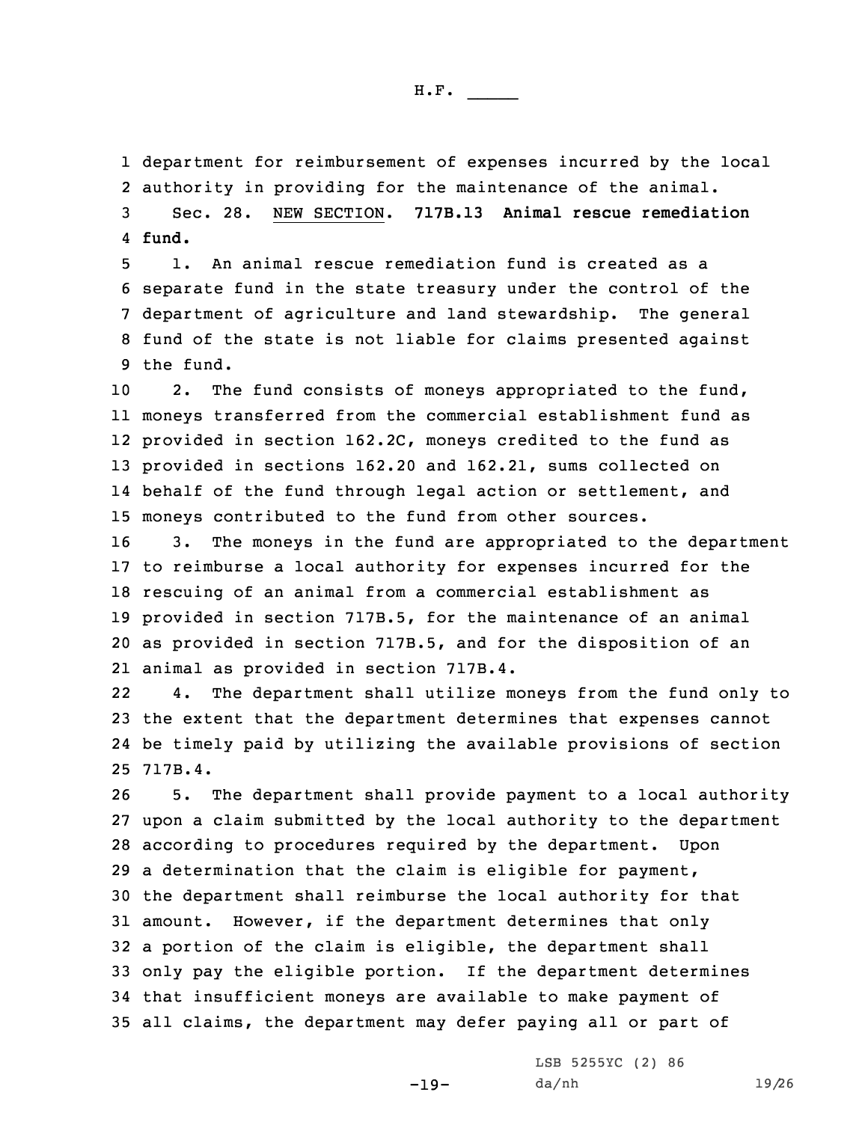department for reimbursement of expenses incurred by the local authority in providing for the maintenance of the animal. Sec. 28. NEW SECTION. **717B.13 Animal rescue remediation** 4 **fund.**

 1. An animal rescue remediation fund is created as <sup>a</sup> separate fund in the state treasury under the control of the department of agriculture and land stewardship. The general fund of the state is not liable for claims presented against the fund.

 2. The fund consists of moneys appropriated to the fund, moneys transferred from the commercial establishment fund as provided in section 162.2C, moneys credited to the fund as provided in sections 162.20 and 162.21, sums collected on 14 behalf of the fund through legal action or settlement, and moneys contributed to the fund from other sources.

 3. The moneys in the fund are appropriated to the department to reimburse <sup>a</sup> local authority for expenses incurred for the rescuing of an animal from <sup>a</sup> commercial establishment as provided in section 717B.5, for the maintenance of an animal as provided in section 717B.5, and for the disposition of an animal as provided in section 717B.4.

22 4. The department shall utilize moneys from the fund only to 23 the extent that the department determines that expenses cannot 24 be timely paid by utilizing the available provisions of section 25 717B.4.

 5. The department shall provide payment to <sup>a</sup> local authority upon <sup>a</sup> claim submitted by the local authority to the department according to procedures required by the department. Upon <sup>a</sup> determination that the claim is eligible for payment, the department shall reimburse the local authority for that amount. However, if the department determines that only <sup>a</sup> portion of the claim is eligible, the department shall only pay the eligible portion. If the department determines that insufficient moneys are available to make payment of all claims, the department may defer paying all or part of

-19-

LSB 5255YC (2) 86 da/nh 19/26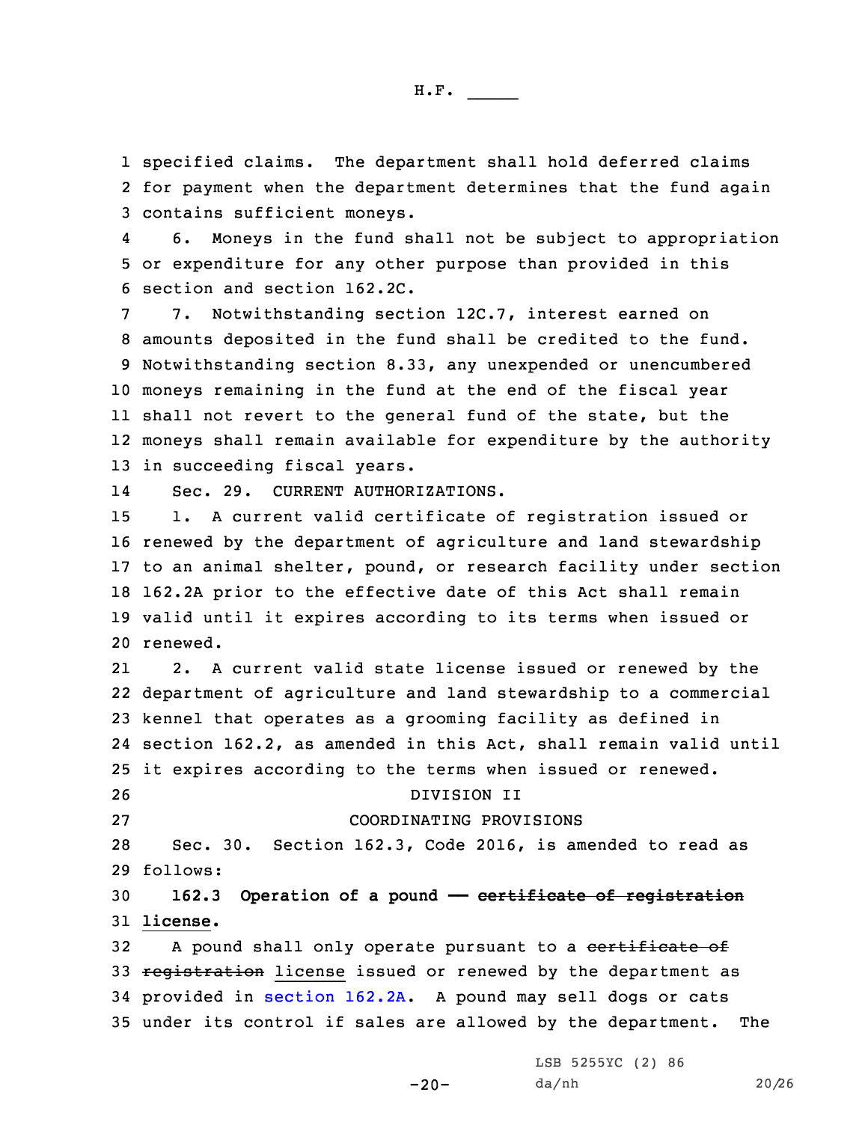1 specified claims. The department shall hold deferred claims 2 for payment when the department determines that the fund again 3 contains sufficient moneys.

4 6. Moneys in the fund shall not be subject to appropriation 5 or expenditure for any other purpose than provided in this 6 section and section 162.2C.

7. Notwithstanding section 12C.7, interest earned on amounts deposited in the fund shall be credited to the fund. Notwithstanding section 8.33, any unexpended or unencumbered moneys remaining in the fund at the end of the fiscal year shall not revert to the general fund of the state, but the moneys shall remain available for expenditure by the authority in succeeding fiscal years.

14Sec. 29. CURRENT AUTHORIZATIONS.

 1. <sup>A</sup> current valid certificate of registration issued or renewed by the department of agriculture and land stewardship to an animal shelter, pound, or research facility under section 162.2A prior to the effective date of this Act shall remain valid until it expires according to its terms when issued or 20 renewed.

21 2. <sup>A</sup> current valid state license issued or renewed by the department of agriculture and land stewardship to <sup>a</sup> commercial kennel that operates as <sup>a</sup> grooming facility as defined in section 162.2, as amended in this Act, shall remain valid until it expires according to the terms when issued or renewed. DIVISION II COORDINATING PROVISIONS Sec. 30. Section 162.3, Code 2016, is amended to read as 29 follows:

## 30 **162.3 Operation of <sup>a</sup> pound —— certificate of registration** 31 **license.**

32 A pound shall only operate pursuant to a certificate of 33 registration license issued or renewed by the department as 34 provided in [section](https://www.legis.iowa.gov/docs/code/2016/162.2A.pdf) 162.2A. <sup>A</sup> pound may sell dogs or cats 35 under its control if sales are allowed by the department. The

> LSB 5255YC (2) 86 da/nh 20/26

-20-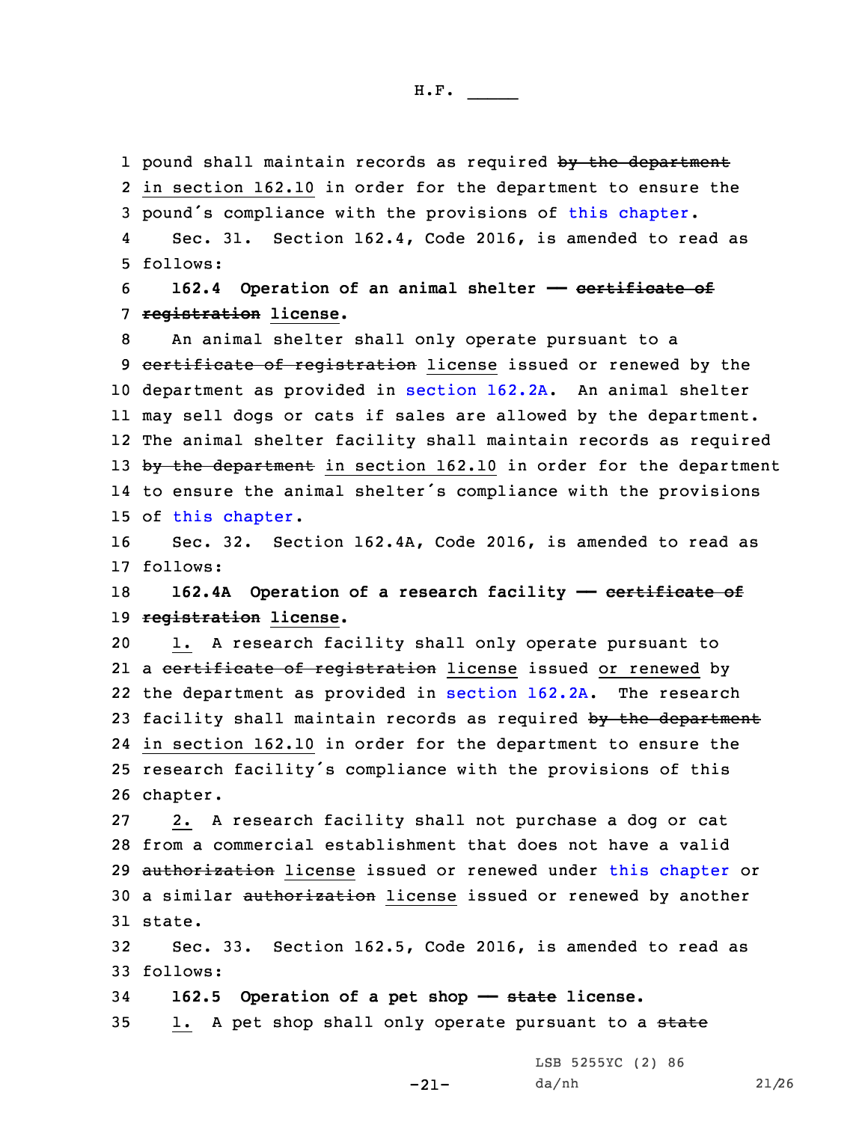1 pound shall maintain records as required by the department 2 in section 162.10 in order for the department to ensure the <sup>3</sup> pound's compliance with the provisions of this [chapter](https://www.legis.iowa.gov/docs/code/2016/162.pdf).

4 Sec. 31. Section 162.4, Code 2016, is amended to read as 5 follows:

6 **162.4 Operation of an animal shelter —— certificate of** 7 **registration license.**

 An animal shelter shall only operate pursuant to <sup>a</sup> 9 certificate of registration license issued or renewed by the department as provided in [section](https://www.legis.iowa.gov/docs/code/2016/162.2A.pdf) 162.2A. An animal shelter may sell dogs or cats if sales are allowed by the department. The animal shelter facility shall maintain records as required 13 by the department in section 162.10 in order for the department to ensure the animal shelter's compliance with the provisions of this [chapter](https://www.legis.iowa.gov/docs/code/2016/162.pdf).

16 Sec. 32. Section 162.4A, Code 2016, is amended to read as 17 follows:

18 **162.4A Operation of <sup>a</sup> research facility —— certificate of** 19 **registration license.**

20 1. <sup>A</sup> research facility shall only operate pursuant to 21 a <del>certificate of registration</del> license issued or renewed by 22 the department as provided in [section](https://www.legis.iowa.gov/docs/code/2016/162.2A.pdf) 162.2A. The research 23 facility shall maintain records as required by the department 24 in section 162.10 in order for the department to ensure the <sup>25</sup> research facility's compliance with the provisions of this 26 chapter.

27 2. <sup>A</sup> research facility shall not purchase <sup>a</sup> dog or cat 28 from <sup>a</sup> commercial establishment that does not have <sup>a</sup> valid 29 authorization license issued or renewed under this [chapter](https://www.legis.iowa.gov/docs/code/2016/162.pdf) or 30 a similar authorization license issued or renewed by another 31 state.

32 Sec. 33. Section 162.5, Code 2016, is amended to read as 33 follows:

-21-

34 **162.5 Operation of <sup>a</sup> pet shop —— state license.**

35 1. A pet shop shall only operate pursuant to a state

LSB 5255YC (2) 86 da/nh 21/26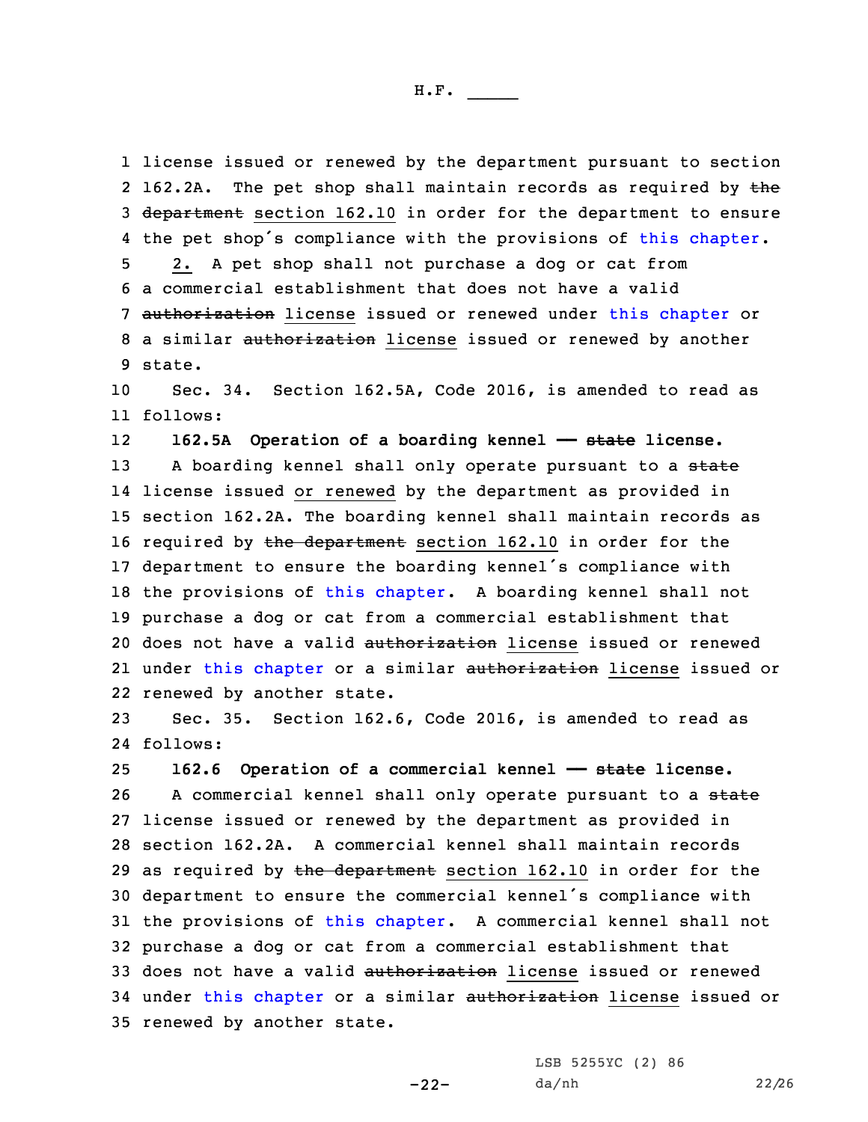1 license issued or renewed by the department pursuant to section  $2 162.2A.$ The pet shop shall maintain records as required by the 3 department section 162.10 in order for the department to ensure 4 the pet shop's compliance with the provisions of this [chapter](https://www.legis.iowa.gov/docs/code/2016/162.pdf). 5 2. <sup>A</sup> pet shop shall not purchase <sup>a</sup> dog or cat from 6 <sup>a</sup> commercial establishment that does not have <sup>a</sup> valid 7 authorization license issued or renewed under this [chapter](https://www.legis.iowa.gov/docs/code/2016/162.pdf) or 8 a similar authorization license issued or renewed by another 9 state.

10 Sec. 34. Section 162.5A, Code 2016, is amended to read as 11 follows:

12**162.5A Operation of <sup>a</sup> boarding kennel —— state license.**

13 A boarding kennel shall only operate pursuant to a state 14 license issued or renewed by the department as provided in 15 section 162.2A. The boarding kennel shall maintain records as 16 required by  $the$  department section 162.10 in order for the <sup>17</sup> department to ensure the boarding kennel's compliance with 18 the provisions of this [chapter](https://www.legis.iowa.gov/docs/code/2016/162.pdf). A boarding kennel shall not 19 purchase <sup>a</sup> dog or cat from <sup>a</sup> commercial establishment that 20 does not have a valid authorization license issued or renewed 21 under this [chapter](https://www.legis.iowa.gov/docs/code/2016/162.pdf) or a similar <del>authorization</del> license issued or 22 renewed by another state.

23 Sec. 35. Section 162.6, Code 2016, is amended to read as 24 follows:

 **162.6 Operation of <sup>a</sup> commercial kennel —— state license.** 26 A commercial kennel shall only operate pursuant to a state license issued or renewed by the department as provided in section 162.2A. A commercial kennel shall maintain records 29 as required by the department section 162.10 in order for the department to ensure the commercial kennel's compliance with the provisions of this [chapter](https://www.legis.iowa.gov/docs/code/2016/162.pdf). <sup>A</sup> commercial kennel shall not purchase <sup>a</sup> dog or cat from <sup>a</sup> commercial establishment that 33 does not have a valid authorization license issued or renewed 34 under this [chapter](https://www.legis.iowa.gov/docs/code/2016/162.pdf) or a similar authorization license issued or renewed by another state.

-22-

LSB 5255YC (2) 86 da/nh 22/26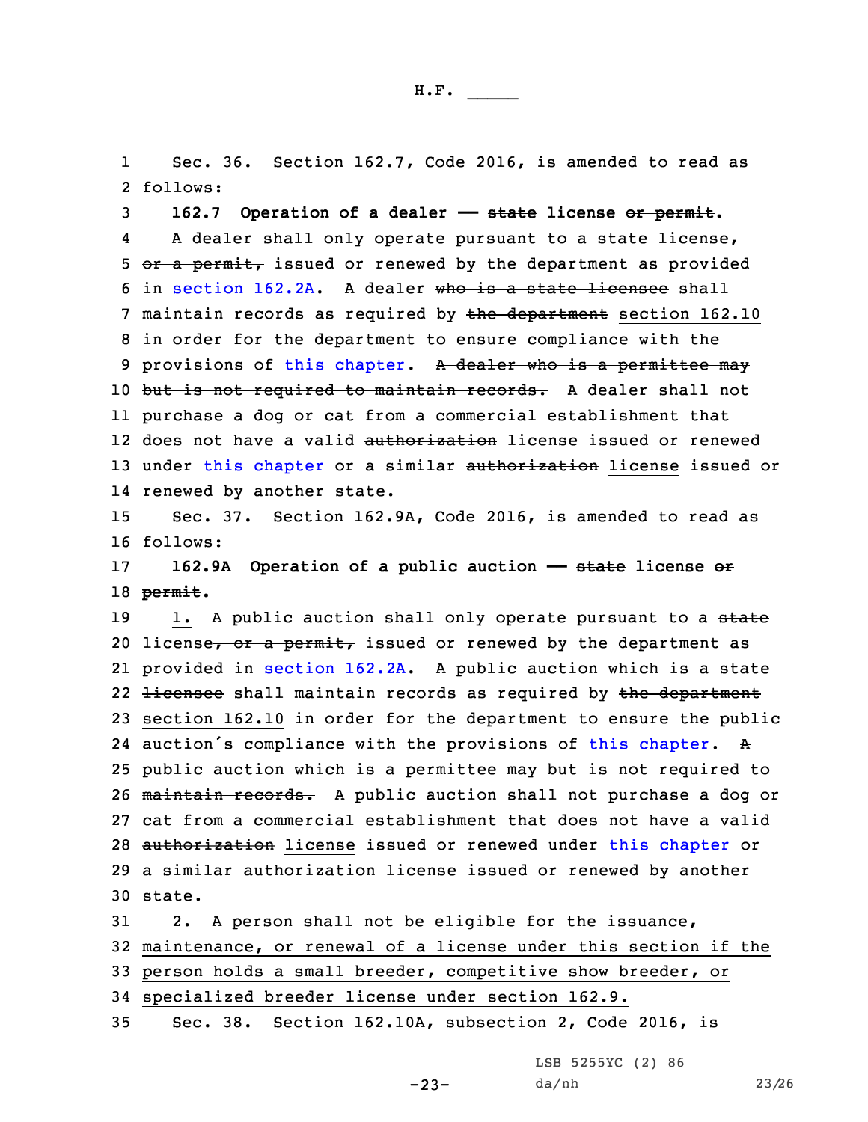1 Sec. 36. Section 162.7, Code 2016, is amended to read as 2 follows:

3 **162.7 Operation of <sup>a</sup> dealer —— state license or permit.** 4A dealer shall only operate pursuant to a state license $<sub>\tau</sub>$ </sub> 5 or a permit, issued or renewed by the department as provided 6 in [section](https://www.legis.iowa.gov/docs/code/2016/162.2A.pdf) 162.2A. A dealer who is a state licensee shall 7 maintain records as required by the department section 162.10 8 in order for the department to ensure compliance with the 9 provisions of this [chapter](https://www.legis.iowa.gov/docs/code/2016/162.pdf). A dealer who is a permittee may 10 but is not required to maintain records. A dealer shall not 11 purchase <sup>a</sup> dog or cat from <sup>a</sup> commercial establishment that 12 does not have a valid <del>authorization</del> license issued or renewed 13 under this [chapter](https://www.legis.iowa.gov/docs/code/2016/162.pdf) or a similar authorization license issued or 14 renewed by another state.

15 Sec. 37. Section 162.9A, Code 2016, is amended to read as 16 follows:

17 **162.9A Operation of <sup>a</sup> public auction —— state license or** 18 **permit.**

19 1. A public auction shall only operate pursuant to a state 20 license, or a permit, issued or renewed by the department as 21 provided in [section](https://www.legis.iowa.gov/docs/code/2016/162.2A.pdf) 162.2A. A public auction w<del>hich is a state</del> 22 <del>licensee</del> shall maintain records as required by <del>the department</del> 23 section 162.10 in order for the department to ensure the public 24 auction's compliance with the provisions of this [chapter](https://www.legis.iowa.gov/docs/code/2016/162.pdf). A 25 public auction which is <sup>a</sup> permittee may but is not required to 26 maintain records. <sup>A</sup> public auction shall not purchase <sup>a</sup> dog or 27 cat from <sup>a</sup> commercial establishment that does not have <sup>a</sup> valid 28 authorization license issued or renewed under this [chapter](https://www.legis.iowa.gov/docs/code/2016/162.pdf) or 29 a similar authorization license issued or renewed by another 30 state.

 2. <sup>A</sup> person shall not be eligible for the issuance, maintenance, or renewal of <sup>a</sup> license under this section if the person holds <sup>a</sup> small breeder, competitive show breeder, or specialized breeder license under section 162.9.

35 Sec. 38. Section 162.10A, subsection 2, Code 2016, is

LSB 5255YC (2) 86

-23-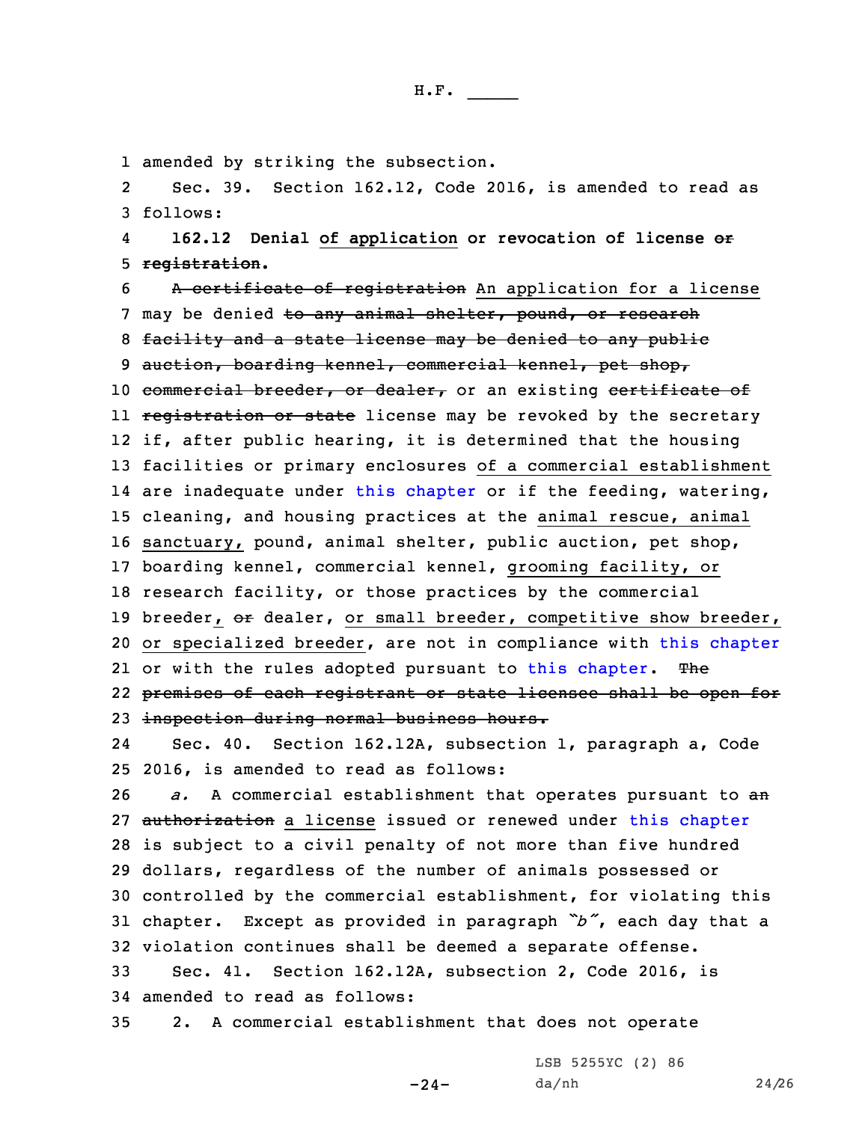1 amended by striking the subsection.

2 Sec. 39. Section 162.12, Code 2016, is amended to read as 3 follows:

4 **162.12 Denial of application or revocation of license or** 5 **registration.**

 <sup>A</sup> certificate of registration An application for <sup>a</sup> license 7 may be denied to any animal shelter, pound, or research facility and <sup>a</sup> state license may be denied to any public 9 auction, boarding kennel, commercial kennel, pet shop, 10 commercial breeder, or dealer, or an existing certificate of ll <del>registration or state</del> license may be revoked by the secretary if, after public hearing, it is determined that the housing facilities or primary enclosures of <sup>a</sup> commercial establishment are inadequate under this [chapter](https://www.legis.iowa.gov/docs/code/2016/162.pdf) or if the feeding, watering, cleaning, and housing practices at the animal rescue, animal sanctuary, pound, animal shelter, public auction, pet shop, boarding kennel, commercial kennel, grooming facility, or research facility, or those practices by the commercial 19 breeder, or dealer, or small breeder, competitive show breeder, 20 or specialized breeder, are not in compliance with this [chapter](https://www.legis.iowa.gov/docs/code/2016/162.pdf) 21 or with the rules adopted pursuant to this [chapter](https://www.legis.iowa.gov/docs/code/2016/162.pdf). The premises of each registrant or state licensee shall be open for inspection during normal business hours.

24 Sec. 40. Section 162.12A, subsection 1, paragraph a, Code 25 2016, is amended to read as follows:

 *a.* <sup>A</sup> commercial establishment that operates pursuant to an 27 authorization a license issued or renewed under this [chapter](https://www.legis.iowa.gov/docs/code/2016/162.pdf) is subject to <sup>a</sup> civil penalty of not more than five hundred dollars, regardless of the number of animals possessed or controlled by the commercial establishment, for violating this chapter. Except as provided in paragraph *"b"*, each day that <sup>a</sup> violation continues shall be deemed <sup>a</sup> separate offense.

-24-

33 Sec. 41. Section 162.12A, subsection 2, Code 2016, is 34 amended to read as follows:

35 2. <sup>A</sup> commercial establishment that does not operate

LSB 5255YC (2) 86 da/nh 24/26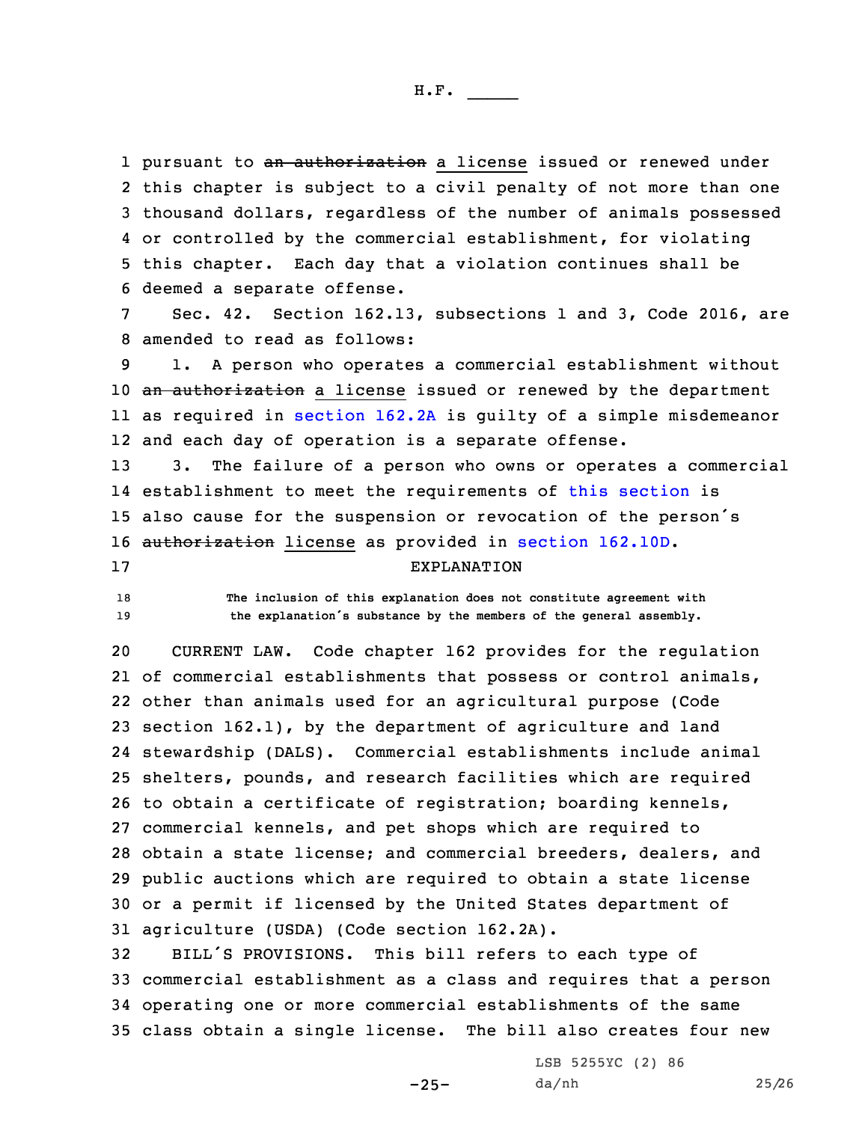1 pursuant to <del>an authorization</del> a license issued or renewed under this chapter is subject to <sup>a</sup> civil penalty of not more than one thousand dollars, regardless of the number of animals possessed or controlled by the commercial establishment, for violating this chapter. Each day that <sup>a</sup> violation continues shall be deemed <sup>a</sup> separate offense.

7 Sec. 42. Section 162.13, subsections 1 and 3, Code 2016, are 8 amended to read as follows:

 1. <sup>A</sup> person who operates <sup>a</sup> commercial establishment without 10 an authorization a license issued or renewed by the department as required in [section](https://www.legis.iowa.gov/docs/code/2016/162.2A.pdf) 162.2A is guilty of <sup>a</sup> simple misdemeanor and each day of operation is <sup>a</sup> separate offense.

 3. The failure of <sup>a</sup> person who owns or operates <sup>a</sup> commercial establishment to meet the requirements of this [section](https://www.legis.iowa.gov/docs/code/2016/162.13.pdf) is also cause for the suspension or revocation of the person's authorization license as provided in section [162.10D](https://www.legis.iowa.gov/docs/code/2016/162.10D.pdf).

## 17 EXPLANATION

18 **The inclusion of this explanation does not constitute agreement with** <sup>19</sup> **the explanation's substance by the members of the general assembly.**

 CURRENT LAW. Code chapter 162 provides for the regulation of commercial establishments that possess or control animals, other than animals used for an agricultural purpose (Code section 162.1), by the department of agriculture and land stewardship (DALS). Commercial establishments include animal shelters, pounds, and research facilities which are required to obtain <sup>a</sup> certificate of registration; boarding kennels, commercial kennels, and pet shops which are required to obtain <sup>a</sup> state license; and commercial breeders, dealers, and public auctions which are required to obtain <sup>a</sup> state license or <sup>a</sup> permit if licensed by the United States department of agriculture (USDA) (Code section 162.2A).

 BILL'S PROVISIONS. This bill refers to each type of commercial establishment as <sup>a</sup> class and requires that <sup>a</sup> person operating one or more commercial establishments of the same class obtain <sup>a</sup> single license. The bill also creates four new

 $-25-$ 

LSB 5255YC (2) 86 da/nh 25/26